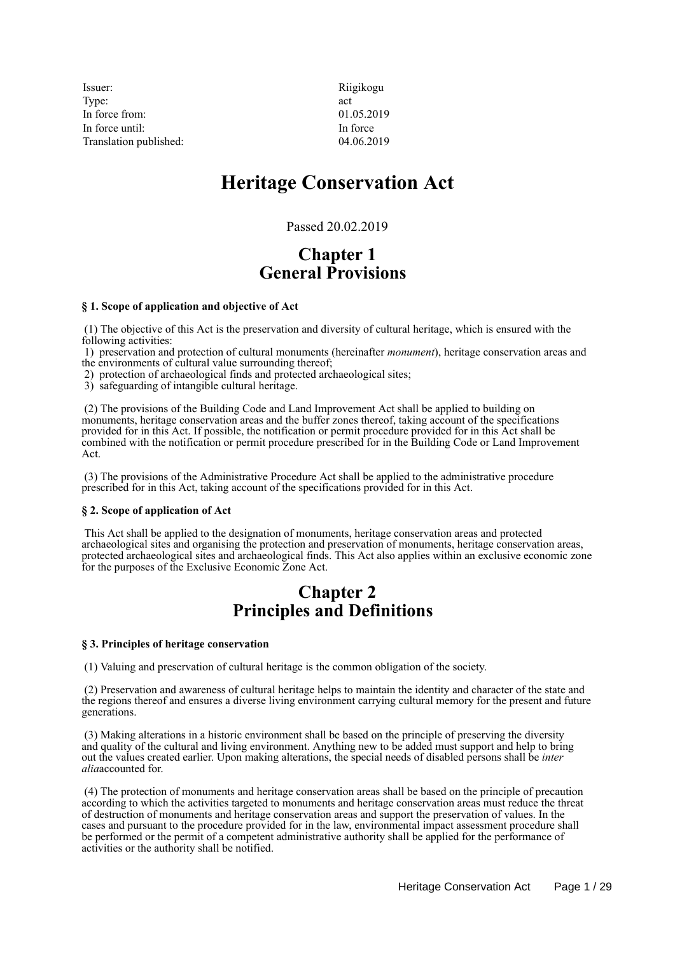Issuer: Riigikogu Type:  $\qquad \qquad \text{act}$ In force from: 01.05.2019 In force until: In force Translation published: 04.06.2019

# **Heritage Conservation Act**

Passed 20.02.2019

# **Chapter 1 General Provisions**

## **§ 1. Scope of application and objective of Act**

 (1) The objective of this Act is the preservation and diversity of cultural heritage, which is ensured with the following activities:

 1) preservation and protection of cultural monuments (hereinafter *monument*), heritage conservation areas and the environments of cultural value surrounding thereof;

2) protection of archaeological finds and protected archaeological sites;

3) safeguarding of intangible cultural heritage.

 (2) The provisions of the Building Code and Land Improvement Act shall be applied to building on monuments, heritage conservation areas and the buffer zones thereof, taking account of the specifications provided for in this Act. If possible, the notification or permit procedure provided for in this Act shall be combined with the notification or permit procedure prescribed for in the Building Code or Land Improvement Act.

 (3) The provisions of the Administrative Procedure Act shall be applied to the administrative procedure prescribed for in this Act, taking account of the specifications provided for in this Act.

### **§ 2. Scope of application of Act**

 This Act shall be applied to the designation of monuments, heritage conservation areas and protected archaeological sites and organising the protection and preservation of monuments, heritage conservation areas, protected archaeological sites and archaeological finds. This Act also applies within an exclusive economic zone for the purposes of the Exclusive Economic Zone Act.

# **Chapter 2 Principles and Definitions**

### **§ 3. Principles of heritage conservation**

(1) Valuing and preservation of cultural heritage is the common obligation of the society.

 (2) Preservation and awareness of cultural heritage helps to maintain the identity and character of the state and the regions thereof and ensures a diverse living environment carrying cultural memory for the present and future generations.

 (3) Making alterations in a historic environment shall be based on the principle of preserving the diversity and quality of the cultural and living environment. Anything new to be added must support and help to bring out the values created earlier. Upon making alterations, the special needs of disabled persons shall be *inter alia*accounted for.

 (4) The protection of monuments and heritage conservation areas shall be based on the principle of precaution according to which the activities targeted to monuments and heritage conservation areas must reduce the threat of destruction of monuments and heritage conservation areas and support the preservation of values. In the cases and pursuant to the procedure provided for in the law, environmental impact assessment procedure shall be performed or the permit of a competent administrative authority shall be applied for the performance of activities or the authority shall be notified.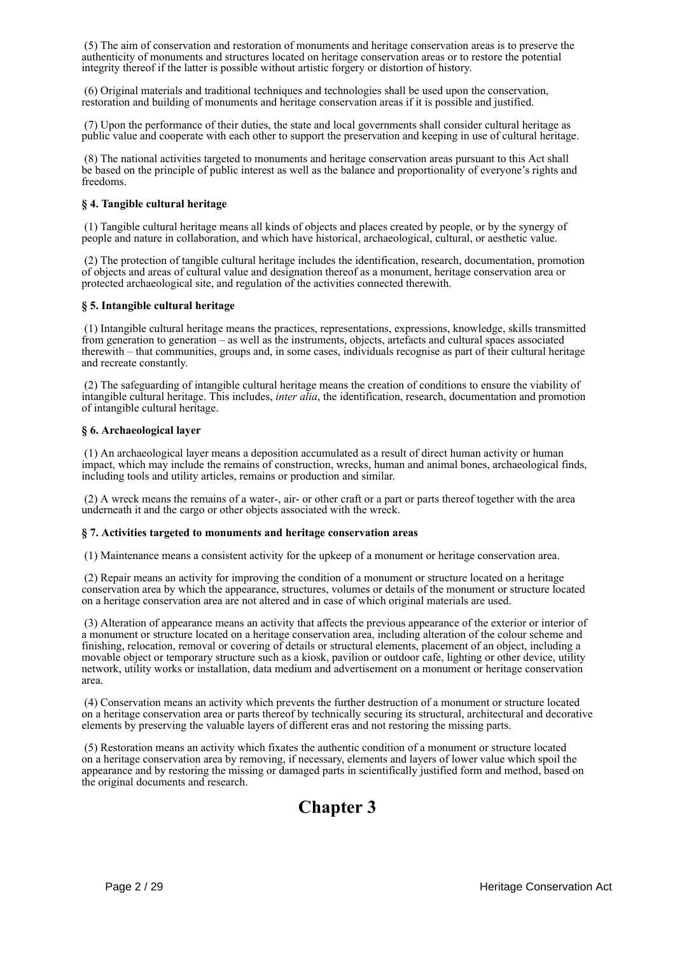(5) The aim of conservation and restoration of monuments and heritage conservation areas is to preserve the authenticity of monuments and structures located on heritage conservation areas or to restore the potential integrity thereof if the latter is possible without artistic forgery or distortion of history.

 (6) Original materials and traditional techniques and technologies shall be used upon the conservation, restoration and building of monuments and heritage conservation areas if it is possible and justified.

 (7) Upon the performance of their duties, the state and local governments shall consider cultural heritage as public value and cooperate with each other to support the preservation and keeping in use of cultural heritage.

 (8) The national activities targeted to monuments and heritage conservation areas pursuant to this Act shall be based on the principle of public interest as well as the balance and proportionality of everyone's rights and freedoms.

## **§ 4. Tangible cultural heritage**

 (1) Tangible cultural heritage means all kinds of objects and places created by people, or by the synergy of people and nature in collaboration, and which have historical, archaeological, cultural, or aesthetic value.

 (2) The protection of tangible cultural heritage includes the identification, research, documentation, promotion of objects and areas of cultural value and designation thereof as a monument, heritage conservation area or protected archaeological site, and regulation of the activities connected therewith.

## **§ 5. Intangible cultural heritage**

 (1) Intangible cultural heritage means the practices, representations, expressions, knowledge, skills transmitted from generation to generation – as well as the instruments, objects, artefacts and cultural spaces associated therewith – that communities, groups and, in some cases, individuals recognise as part of their cultural heritage and recreate constantly.

 (2) The safeguarding of intangible cultural heritage means the creation of conditions to ensure the viability of intangible cultural heritage. This includes, *inter alia*, the identification, research, documentation and promotion of intangible cultural heritage.

### **§ 6. Archaeological layer**

 (1) An archaeological layer means a deposition accumulated as a result of direct human activity or human impact, which may include the remains of construction, wrecks, human and animal bones, archaeological finds, including tools and utility articles, remains or production and similar.

 (2) A wreck means the remains of a water-, air- or other craft or a part or parts thereof together with the area underneath it and the cargo or other objects associated with the wreck.

### **§ 7. Activities targeted to monuments and heritage conservation areas**

(1) Maintenance means a consistent activity for the upkeep of a monument or heritage conservation area.

 (2) Repair means an activity for improving the condition of a monument or structure located on a heritage conservation area by which the appearance, structures, volumes or details of the monument or structure located on a heritage conservation area are not altered and in case of which original materials are used.

 (3) Alteration of appearance means an activity that affects the previous appearance of the exterior or interior of a monument or structure located on a heritage conservation area, including alteration of the colour scheme and finishing, relocation, removal or covering of details or structural elements, placement of an object, including a movable object or temporary structure such as a kiosk, pavilion or outdoor cafe, lighting or other device, utility network, utility works or installation, data medium and advertisement on a monument or heritage conservation area.

 (4) Conservation means an activity which prevents the further destruction of a monument or structure located on a heritage conservation area or parts thereof by technically securing its structural, architectural and decorative elements by preserving the valuable layers of different eras and not restoring the missing parts.

 (5) Restoration means an activity which fixates the authentic condition of a monument or structure located on a heritage conservation area by removing, if necessary, elements and layers of lower value which spoil the appearance and by restoring the missing or damaged parts in scientifically justified form and method, based on the original documents and research.

# **Chapter 3**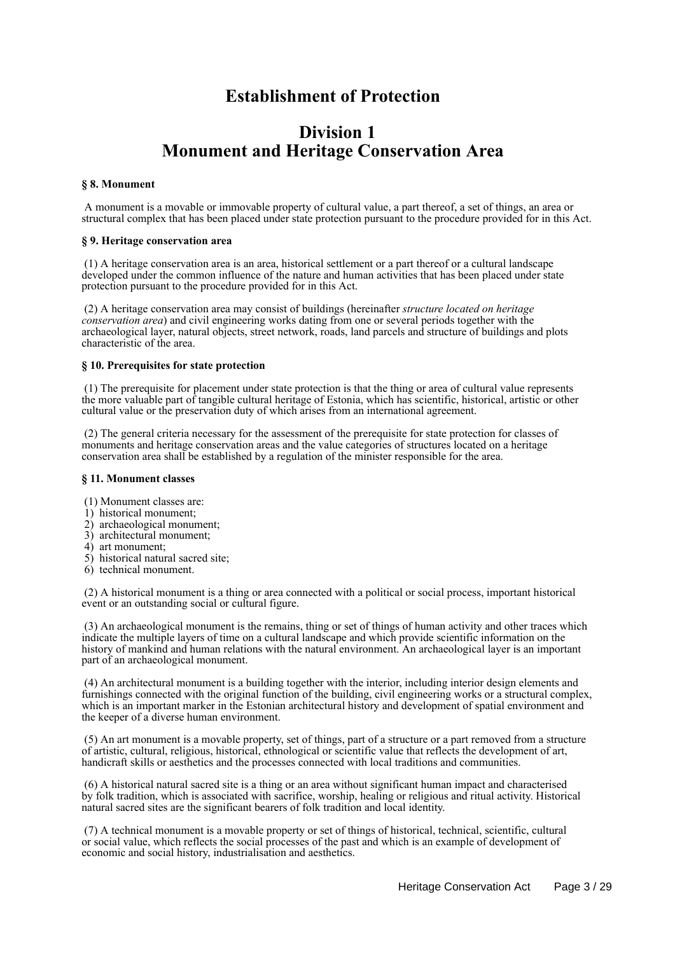# **Establishment of Protection**

# **Division 1 Monument and Heritage Conservation Area**

### **§ 8. Monument**

 A monument is a movable or immovable property of cultural value, a part thereof, a set of things, an area or structural complex that has been placed under state protection pursuant to the procedure provided for in this Act.

### **§ 9. Heritage conservation area**

 (1) A heritage conservation area is an area, historical settlement or a part thereof or a cultural landscape developed under the common influence of the nature and human activities that has been placed under state protection pursuant to the procedure provided for in this Act.

 (2) A heritage conservation area may consist of buildings (hereinafter *structure located on heritage conservation area*) and civil engineering works dating from one or several periods together with the archaeological layer, natural objects, street network, roads, land parcels and structure of buildings and plots characteristic of the area.

### **§ 10. Prerequisites for state protection**

 (1) The prerequisite for placement under state protection is that the thing or area of cultural value represents the more valuable part of tangible cultural heritage of Estonia, which has scientific, historical, artistic or other cultural value or the preservation duty of which arises from an international agreement.

 (2) The general criteria necessary for the assessment of the prerequisite for state protection for classes of monuments and heritage conservation areas and the value categories of structures located on a heritage conservation area shall be established by a regulation of the minister responsible for the area.

### **§ 11. Monument classes**

- (1) Monument classes are:
- 1) historical monument;
- 2) archaeological monument;
- 3) architectural monument;
- 4) art monument;
- 5) historical natural sacred site;
- 6) technical monument.

 (2) A historical monument is a thing or area connected with a political or social process, important historical event or an outstanding social or cultural figure.

 (3) An archaeological monument is the remains, thing or set of things of human activity and other traces which indicate the multiple layers of time on a cultural landscape and which provide scientific information on the history of mankind and human relations with the natural environment. An archaeological layer is an important part of an archaeological monument.

 (4) An architectural monument is a building together with the interior, including interior design elements and furnishings connected with the original function of the building, civil engineering works or a structural complex, which is an important marker in the Estonian architectural history and development of spatial environment and the keeper of a diverse human environment.

 (5) An art monument is a movable property, set of things, part of a structure or a part removed from a structure of artistic, cultural, religious, historical, ethnological or scientific value that reflects the development of art, handicraft skills or aesthetics and the processes connected with local traditions and communities.

 (6) A historical natural sacred site is a thing or an area without significant human impact and characterised by folk tradition, which is associated with sacrifice, worship, healing or religious and ritual activity. Historical natural sacred sites are the significant bearers of folk tradition and local identity.

 (7) A technical monument is a movable property or set of things of historical, technical, scientific, cultural or social value, which reflects the social processes of the past and which is an example of development of economic and social history, industrialisation and aesthetics.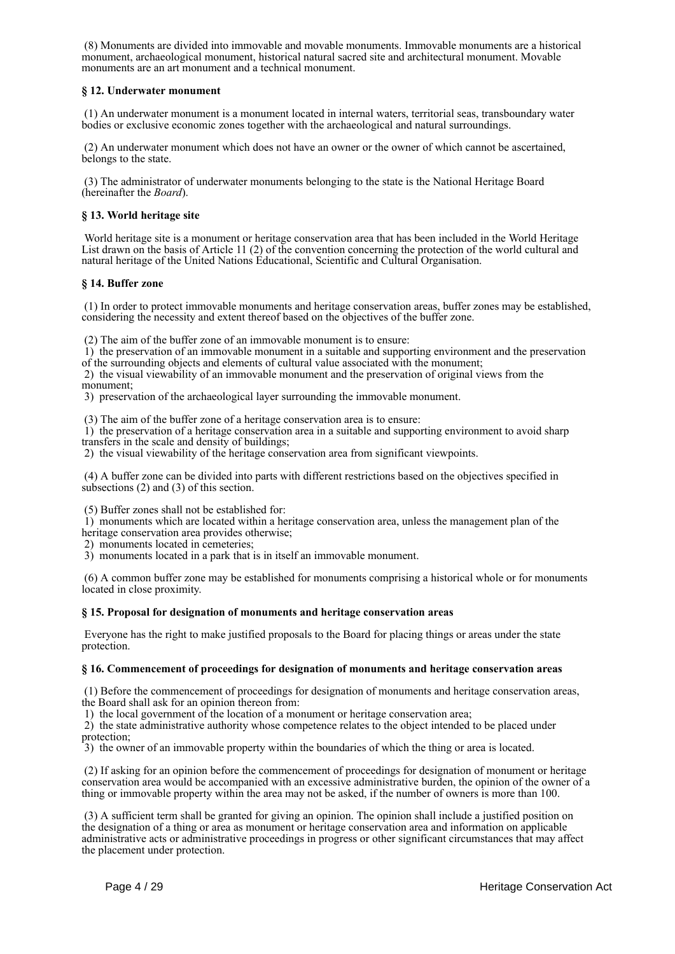(8) Monuments are divided into immovable and movable monuments. Immovable monuments are a historical monument, archaeological monument, historical natural sacred site and architectural monument. Movable monuments are an art monument and a technical monument.

## **§ 12. Underwater monument**

 (1) An underwater monument is a monument located in internal waters, territorial seas, transboundary water bodies or exclusive economic zones together with the archaeological and natural surroundings.

 (2) An underwater monument which does not have an owner or the owner of which cannot be ascertained, belongs to the state.

 (3) The administrator of underwater monuments belonging to the state is the National Heritage Board (hereinafter the *Board*).

### **§ 13. World heritage site**

 World heritage site is a monument or heritage conservation area that has been included in the World Heritage List drawn on the basis of Article 11 (2) of the convention concerning the protection of the world cultural and natural heritage of the United Nations Educational, Scientific and Cultural Organisation.

### **§ 14. Buffer zone**

 (1) In order to protect immovable monuments and heritage conservation areas, buffer zones may be established, considering the necessity and extent thereof based on the objectives of the buffer zone.

(2) The aim of the buffer zone of an immovable monument is to ensure:

 1) the preservation of an immovable monument in a suitable and supporting environment and the preservation of the surrounding objects and elements of cultural value associated with the monument;

 2) the visual viewability of an immovable monument and the preservation of original views from the monument;

3) preservation of the archaeological layer surrounding the immovable monument.

(3) The aim of the buffer zone of a heritage conservation area is to ensure:

 1) the preservation of a heritage conservation area in a suitable and supporting environment to avoid sharp transfers in the scale and density of buildings;

2) the visual viewability of the heritage conservation area from significant viewpoints.

 (4) A buffer zone can be divided into parts with different restrictions based on the objectives specified in subsections (2) and (3) of this section.

(5) Buffer zones shall not be established for:

 1) monuments which are located within a heritage conservation area, unless the management plan of the heritage conservation area provides otherwise;

2) monuments located in cemeteries;

3) monuments located in a park that is in itself an immovable monument.

 (6) A common buffer zone may be established for monuments comprising a historical whole or for monuments located in close proximity.

### **§ 15. Proposal for designation of monuments and heritage conservation areas**

 Everyone has the right to make justified proposals to the Board for placing things or areas under the state protection.

### **§ 16. Commencement of proceedings for designation of monuments and heritage conservation areas**

 (1) Before the commencement of proceedings for designation of monuments and heritage conservation areas, the Board shall ask for an opinion thereon from:

1) the local government of the location of a monument or heritage conservation area;

 2) the state administrative authority whose competence relates to the object intended to be placed under protection;

3) the owner of an immovable property within the boundaries of which the thing or area is located.

 (2) If asking for an opinion before the commencement of proceedings for designation of monument or heritage conservation area would be accompanied with an excessive administrative burden, the opinion of the owner of a thing or immovable property within the area may not be asked, if the number of owners is more than 100.

 (3) A sufficient term shall be granted for giving an opinion. The opinion shall include a justified position on the designation of a thing or area as monument or heritage conservation area and information on applicable administrative acts or administrative proceedings in progress or other significant circumstances that may affect the placement under protection.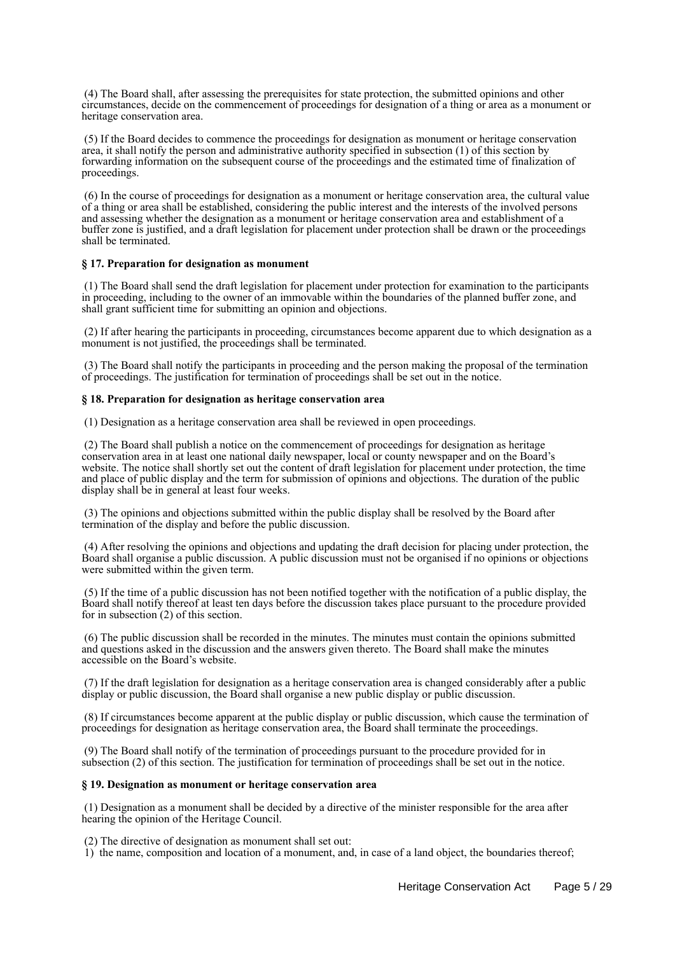(4) The Board shall, after assessing the prerequisites for state protection, the submitted opinions and other circumstances, decide on the commencement of proceedings for designation of a thing or area as a monument or heritage conservation area.

 (5) If the Board decides to commence the proceedings for designation as monument or heritage conservation area, it shall notify the person and administrative authority specified in subsection (1) of this section by forwarding information on the subsequent course of the proceedings and the estimated time of finalization of proceedings.

 (6) In the course of proceedings for designation as a monument or heritage conservation area, the cultural value of a thing or area shall be established, considering the public interest and the interests of the involved persons and assessing whether the designation as a monument or heritage conservation area and establishment of a buffer zone is justified, and a draft legislation for placement under protection shall be drawn or the proceedings shall be terminated.

### **§ 17. Preparation for designation as monument**

 (1) The Board shall send the draft legislation for placement under protection for examination to the participants in proceeding, including to the owner of an immovable within the boundaries of the planned buffer zone, and shall grant sufficient time for submitting an opinion and objections.

 (2) If after hearing the participants in proceeding, circumstances become apparent due to which designation as a monument is not justified, the proceedings shall be terminated.

 (3) The Board shall notify the participants in proceeding and the person making the proposal of the termination of proceedings. The justification for termination of proceedings shall be set out in the notice.

#### **§ 18. Preparation for designation as heritage conservation area**

(1) Designation as a heritage conservation area shall be reviewed in open proceedings.

 (2) The Board shall publish a notice on the commencement of proceedings for designation as heritage conservation area in at least one national daily newspaper, local or county newspaper and on the Board's website. The notice shall shortly set out the content of draft legislation for placement under protection, the time and place of public display and the term for submission of opinions and objections. The duration of the public display shall be in general at least four weeks.

 (3) The opinions and objections submitted within the public display shall be resolved by the Board after termination of the display and before the public discussion.

 (4) After resolving the opinions and objections and updating the draft decision for placing under protection, the Board shall organise a public discussion. A public discussion must not be organised if no opinions or objections were submitted within the given term.

 (5) If the time of a public discussion has not been notified together with the notification of a public display, the Board shall notify thereof at least ten days before the discussion takes place pursuant to the procedure provided for in subsection (2) of this section.

 (6) The public discussion shall be recorded in the minutes. The minutes must contain the opinions submitted and questions asked in the discussion and the answers given thereto. The Board shall make the minutes accessible on the Board's website.

 (7) If the draft legislation for designation as a heritage conservation area is changed considerably after a public display or public discussion, the Board shall organise a new public display or public discussion.

 (8) If circumstances become apparent at the public display or public discussion, which cause the termination of proceedings for designation as heritage conservation area, the Board shall terminate the proceedings.

 (9) The Board shall notify of the termination of proceedings pursuant to the procedure provided for in subsection (2) of this section. The justification for termination of proceedings shall be set out in the notice.

### **§ 19. Designation as monument or heritage conservation area**

 (1) Designation as a monument shall be decided by a directive of the minister responsible for the area after hearing the opinion of the Heritage Council.

(2) The directive of designation as monument shall set out:

 $\hat{1}$ ) the name, composition and location of a monument, and, in case of a land object, the boundaries thereof;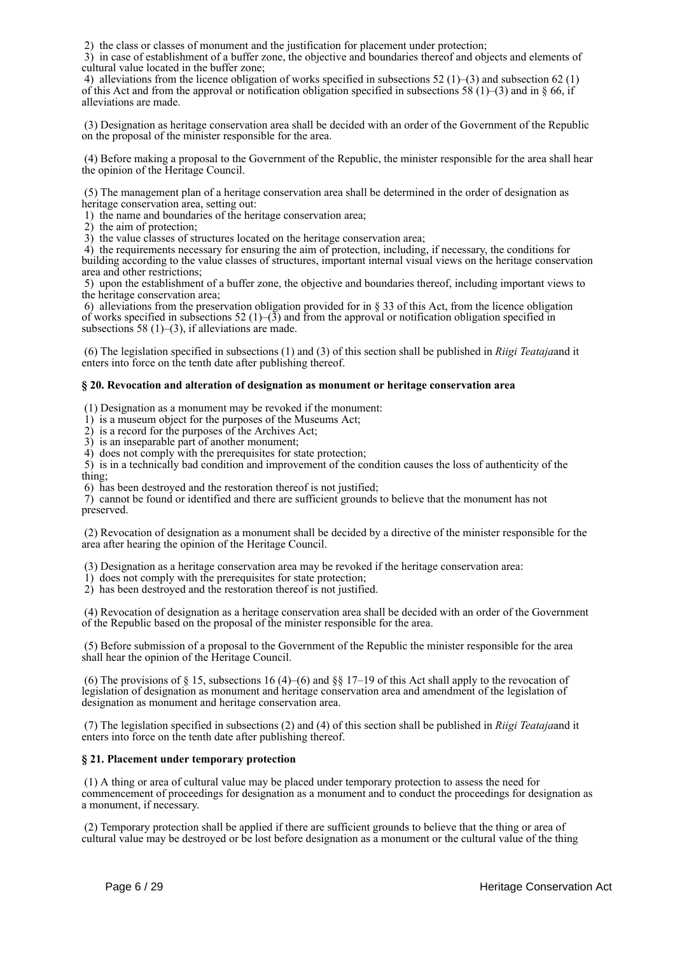2) the class or classes of monument and the justification for placement under protection;

 3) in case of establishment of a buffer zone, the objective and boundaries thereof and objects and elements of cultural value located in the buffer zone;

4) alleviations from the licence obligation of works specified in subsections  $52 (1)$ –(3) and subsection 62 (1) of this Act and from the approval or notification obligation specified in subsections 58 (1)–(3) and in § 66, if alleviations are made.

 (3) Designation as heritage conservation area shall be decided with an order of the Government of the Republic on the proposal of the minister responsible for the area.

 (4) Before making a proposal to the Government of the Republic, the minister responsible for the area shall hear the opinion of the Heritage Council.

 (5) The management plan of a heritage conservation area shall be determined in the order of designation as heritage conservation area, setting out:

1) the name and boundaries of the heritage conservation area;

2) the aim of protection;

3) the value classes of structures located on the heritage conservation area;

 4) the requirements necessary for ensuring the aim of protection, including, if necessary, the conditions for building according to the value classes of structures, important internal visual views on the heritage conservation area and other restrictions;

 5) upon the establishment of a buffer zone, the objective and boundaries thereof, including important views to the heritage conservation area;

 6) alleviations from the preservation obligation provided for in § 33 of this Act, from the licence obligation of works specified in subsections 52 (1)–(3) and from the approval or notification obligation specified in subsections 58  $(1)$ – $(3)$ , if alleviations are made.

 (6) The legislation specified in subsections (1) and (3) of this section shall be published in *Riigi Teataja*and it enters into force on the tenth date after publishing thereof.

## **§ 20. Revocation and alteration of designation as monument or heritage conservation area**

(1) Designation as a monument may be revoked if the monument:

1) is a museum object for the purposes of the Museums Act;

2) is a record for the purposes of the Archives Act;

3) is an inseparable part of another monument;

4) does not comply with the prerequisites for state protection;

 5) is in a technically bad condition and improvement of the condition causes the loss of authenticity of the thing;

6) has been destroyed and the restoration thereof is not justified;

 7) cannot be found or identified and there are sufficient grounds to believe that the monument has not preserved.

 (2) Revocation of designation as a monument shall be decided by a directive of the minister responsible for the area after hearing the opinion of the Heritage Council.

(3) Designation as a heritage conservation area may be revoked if the heritage conservation area:

1) does not comply with the prerequisites for state protection;

2) has been destroyed and the restoration thereof is not justified.

 (4) Revocation of designation as a heritage conservation area shall be decided with an order of the Government of the Republic based on the proposal of the minister responsible for the area.

 (5) Before submission of a proposal to the Government of the Republic the minister responsible for the area shall hear the opinion of the Heritage Council.

(6) The provisions of  $\S 15$ , subsections 16 (4)–(6) and  $\S \ \ 17-19$  of this Act shall apply to the revocation of legislation of designation as monument and heritage conservation area and amendment of the legislation of designation as monument and heritage conservation area.

 (7) The legislation specified in subsections (2) and (4) of this section shall be published in *Riigi Teataja*and it enters into force on the tenth date after publishing thereof.

## **§ 21. Placement under temporary protection**

 (1) A thing or area of cultural value may be placed under temporary protection to assess the need for commencement of proceedings for designation as a monument and to conduct the proceedings for designation as a monument, if necessary.

 (2) Temporary protection shall be applied if there are sufficient grounds to believe that the thing or area of cultural value may be destroyed or be lost before designation as a monument or the cultural value of the thing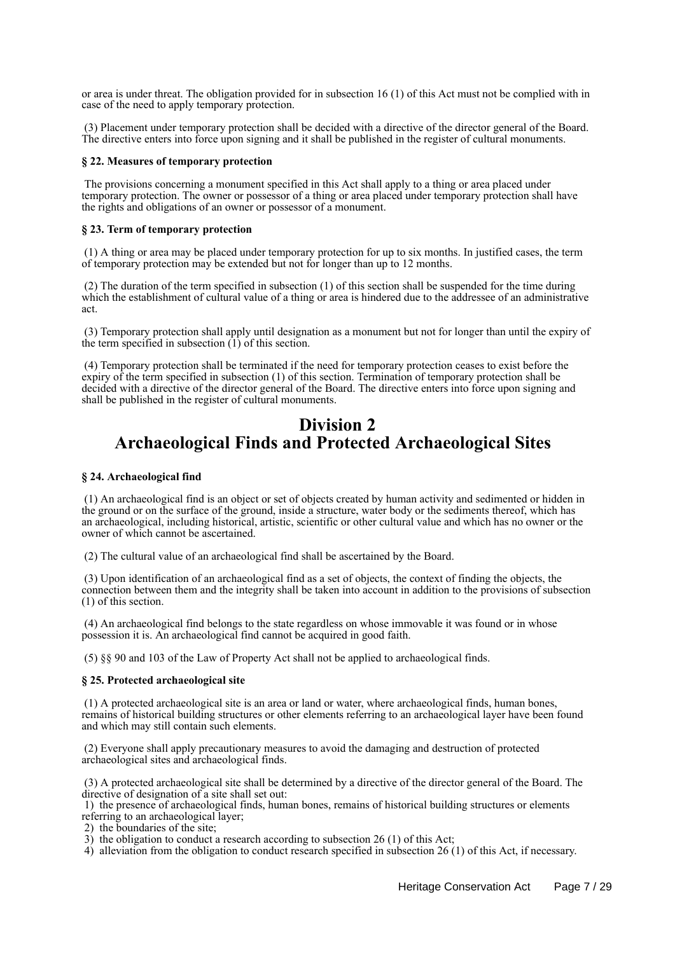or area is under threat. The obligation provided for in subsection 16 (1) of this Act must not be complied with in case of the need to apply temporary protection.

 (3) Placement under temporary protection shall be decided with a directive of the director general of the Board. The directive enters into force upon signing and it shall be published in the register of cultural monuments.

#### **§ 22. Measures of temporary protection**

 The provisions concerning a monument specified in this Act shall apply to a thing or area placed under temporary protection. The owner or possessor of a thing or area placed under temporary protection shall have the rights and obligations of an owner or possessor of a monument.

#### **§ 23. Term of temporary protection**

 (1) A thing or area may be placed under temporary protection for up to six months. In justified cases, the term of temporary protection may be extended but not for longer than up to 12 months.

 (2) The duration of the term specified in subsection (1) of this section shall be suspended for the time during which the establishment of cultural value of a thing or area is hindered due to the addressee of an administrative act.

 (3) Temporary protection shall apply until designation as a monument but not for longer than until the expiry of the term specified in subsection  $(1)$  of this section.

 (4) Temporary protection shall be terminated if the need for temporary protection ceases to exist before the expiry of the term specified in subsection (1) of this section. Termination of temporary protection shall be decided with a directive of the director general of the Board. The directive enters into force upon signing and shall be published in the register of cultural monuments.

## **Division 2 Archaeological Finds and Protected Archaeological Sites**

### **§ 24. Archaeological find**

 (1) An archaeological find is an object or set of objects created by human activity and sedimented or hidden in the ground or on the surface of the ground, inside a structure, water body or the sediments thereof, which has an archaeological, including historical, artistic, scientific or other cultural value and which has no owner or the owner of which cannot be ascertained.

(2) The cultural value of an archaeological find shall be ascertained by the Board.

 (3) Upon identification of an archaeological find as a set of objects, the context of finding the objects, the connection between them and the integrity shall be taken into account in addition to the provisions of subsection (1) of this section.

 (4) An archaeological find belongs to the state regardless on whose immovable it was found or in whose possession it is. An archaeological find cannot be acquired in good faith.

(5) §§ 90 and 103 of the Law of Property Act shall not be applied to archaeological finds.

#### **§ 25. Protected archaeological site**

 (1) A protected archaeological site is an area or land or water, where archaeological finds, human bones, remains of historical building structures or other elements referring to an archaeological layer have been found and which may still contain such elements.

 (2) Everyone shall apply precautionary measures to avoid the damaging and destruction of protected archaeological sites and archaeological finds.

 (3) A protected archaeological site shall be determined by a directive of the director general of the Board. The directive of designation of a site shall set out:

 1) the presence of archaeological finds, human bones, remains of historical building structures or elements referring to an archaeological layer;

2) the boundaries of the site;

3) the obligation to conduct a research according to subsection 26 (1) of this Act;

4) alleviation from the obligation to conduct research specified in subsection 26 (1) of this Act, if necessary.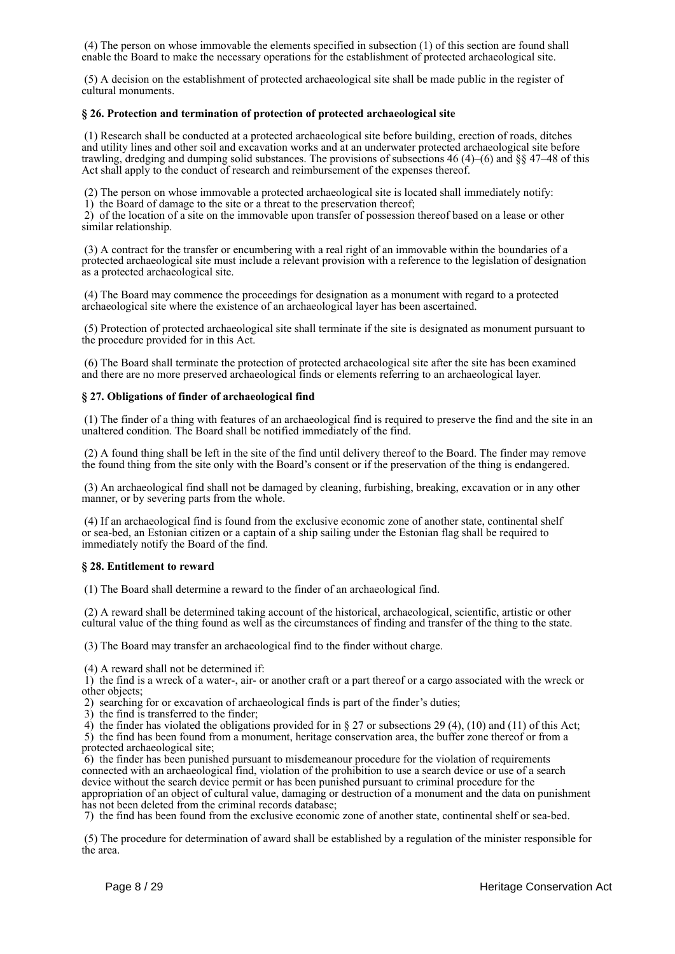(4) The person on whose immovable the elements specified in subsection (1) of this section are found shall enable the Board to make the necessary operations for the establishment of protected archaeological site.

 (5) A decision on the establishment of protected archaeological site shall be made public in the register of cultural monuments.

## **§ 26. Protection and termination of protection of protected archaeological site**

 (1) Research shall be conducted at a protected archaeological site before building, erection of roads, ditches and utility lines and other soil and excavation works and at an underwater protected archaeological site before trawling, dredging and dumping solid substances. The provisions of subsections 46 (4)–(6) and §§ 47–48 of this Act shall apply to the conduct of research and reimbursement of the expenses thereof.

(2) The person on whose immovable a protected archaeological site is located shall immediately notify:

 $1)$  the Board of damage to the site or a threat to the preservation thereof;

 2) of the location of a site on the immovable upon transfer of possession thereof based on a lease or other similar relationship.

 (3) A contract for the transfer or encumbering with a real right of an immovable within the boundaries of a protected archaeological site must include a relevant provision with a reference to the legislation of designation as a protected archaeological site.

 (4) The Board may commence the proceedings for designation as a monument with regard to a protected archaeological site where the existence of an archaeological layer has been ascertained.

 (5) Protection of protected archaeological site shall terminate if the site is designated as monument pursuant to the procedure provided for in this Act.

 (6) The Board shall terminate the protection of protected archaeological site after the site has been examined and there are no more preserved archaeological finds or elements referring to an archaeological layer.

## **§ 27. Obligations of finder of archaeological find**

 (1) The finder of a thing with features of an archaeological find is required to preserve the find and the site in an unaltered condition. The Board shall be notified immediately of the find.

 (2) A found thing shall be left in the site of the find until delivery thereof to the Board. The finder may remove the found thing from the site only with the Board's consent or if the preservation of the thing is endangered.

 (3) An archaeological find shall not be damaged by cleaning, furbishing, breaking, excavation or in any other manner, or by severing parts from the whole.

 (4) If an archaeological find is found from the exclusive economic zone of another state, continental shelf or sea-bed, an Estonian citizen or a captain of a ship sailing under the Estonian flag shall be required to immediately notify the Board of the find.

### **§ 28. Entitlement to reward**

(1) The Board shall determine a reward to the finder of an archaeological find.

 (2) A reward shall be determined taking account of the historical, archaeological, scientific, artistic or other cultural value of the thing found as well as the circumstances of finding and transfer of the thing to the state.

(3) The Board may transfer an archaeological find to the finder without charge.

(4) A reward shall not be determined if:

 1) the find is a wreck of a water-, air- or another craft or a part thereof or a cargo associated with the wreck or other objects;

2) searching for or excavation of archaeological finds is part of the finder's duties;

3) the find is transferred to the finder;

4) the finder has violated the obligations provided for in § 27 or subsections 29 (4), (10) and (11) of this Act;

 5) the find has been found from a monument, heritage conservation area, the buffer zone thereof or from a protected archaeological site;

 6) the finder has been punished pursuant to misdemeanour procedure for the violation of requirements connected with an archaeological find, violation of the prohibition to use a search device or use of a search device without the search device permit or has been punished pursuant to criminal procedure for the appropriation of an object of cultural value, damaging or destruction of a monument and the data on punishment has not been deleted from the criminal records database;

7) the find has been found from the exclusive economic zone of another state, continental shelf or sea-bed.

 (5) The procedure for determination of award shall be established by a regulation of the minister responsible for the area.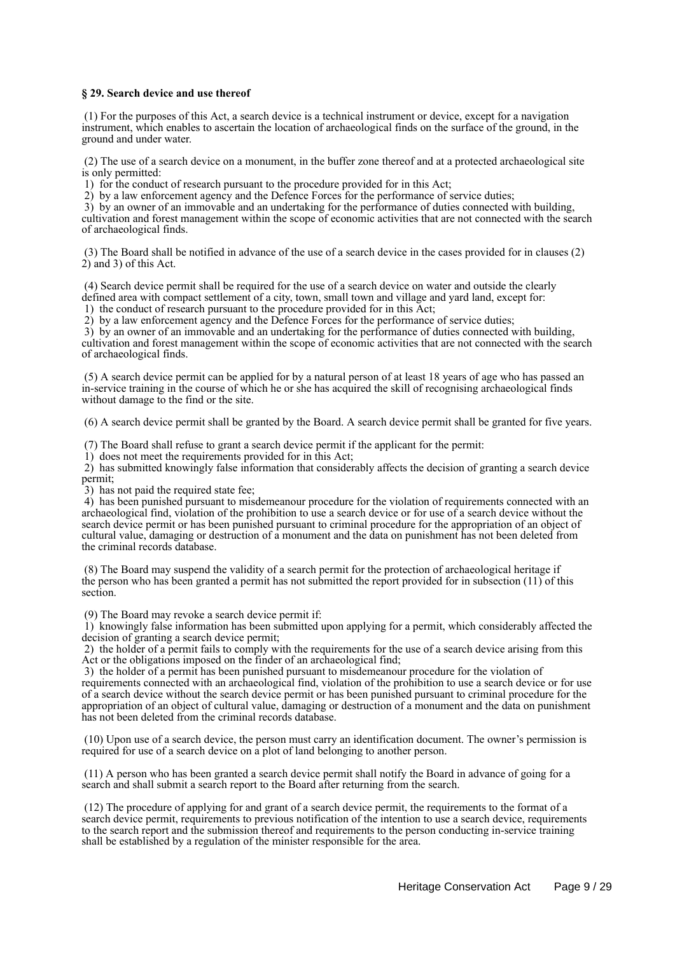### **§ 29. Search device and use thereof**

 (1) For the purposes of this Act, a search device is a technical instrument or device, except for a navigation instrument, which enables to ascertain the location of archaeological finds on the surface of the ground, in the ground and under water.

 (2) The use of a search device on a monument, in the buffer zone thereof and at a protected archaeological site is only permitted:

1) for the conduct of research pursuant to the procedure provided for in this Act;

2) by a law enforcement agency and the Defence Forces for the performance of service duties;

 3) by an owner of an immovable and an undertaking for the performance of duties connected with building, cultivation and forest management within the scope of economic activities that are not connected with the search of archaeological finds.

 (3) The Board shall be notified in advance of the use of a search device in the cases provided for in clauses (2) 2) and 3) of this Act.

 (4) Search device permit shall be required for the use of a search device on water and outside the clearly defined area with compact settlement of a city, town, small town and village and yard land, except for: 1) the conduct of research pursuant to the procedure provided for in this Act;

2) by a law enforcement agency and the Defence Forces for the performance of service duties;

 3) by an owner of an immovable and an undertaking for the performance of duties connected with building, cultivation and forest management within the scope of economic activities that are not connected with the search of archaeological finds.

 (5) A search device permit can be applied for by a natural person of at least 18 years of age who has passed an in-service training in the course of which he or she has acquired the skill of recognising archaeological finds without damage to the find or the site.

(6) A search device permit shall be granted by the Board. A search device permit shall be granted for five years.

(7) The Board shall refuse to grant a search device permit if the applicant for the permit:

1) does not meet the requirements provided for in this Act;

 2) has submitted knowingly false information that considerably affects the decision of granting a search device permit;

3) has not paid the required state fee;

 4) has been punished pursuant to misdemeanour procedure for the violation of requirements connected with an archaeological find, violation of the prohibition to use a search device or for use of a search device without the search device permit or has been punished pursuant to criminal procedure for the appropriation of an object of cultural value, damaging or destruction of a monument and the data on punishment has not been deleted from the criminal records database.

 (8) The Board may suspend the validity of a search permit for the protection of archaeological heritage if the person who has been granted a permit has not submitted the report provided for in subsection (11) of this section.

(9) The Board may revoke a search device permit if:

 1) knowingly false information has been submitted upon applying for a permit, which considerably affected the decision of granting a search device permit;

 2) the holder of a permit fails to comply with the requirements for the use of a search device arising from this Act or the obligations imposed on the finder of an archaeological find;

 3) the holder of a permit has been punished pursuant to misdemeanour procedure for the violation of requirements connected with an archaeological find, violation of the prohibition to use a search device or for use of a search device without the search device permit or has been punished pursuant to criminal procedure for the appropriation of an object of cultural value, damaging or destruction of a monument and the data on punishment has not been deleted from the criminal records database.

 (10) Upon use of a search device, the person must carry an identification document. The owner's permission is required for use of a search device on a plot of land belonging to another person.

 (11) A person who has been granted a search device permit shall notify the Board in advance of going for a search and shall submit a search report to the Board after returning from the search.

 (12) The procedure of applying for and grant of a search device permit, the requirements to the format of a search device permit, requirements to previous notification of the intention to use a search device, requirements to the search report and the submission thereof and requirements to the person conducting in-service training shall be established by a regulation of the minister responsible for the area.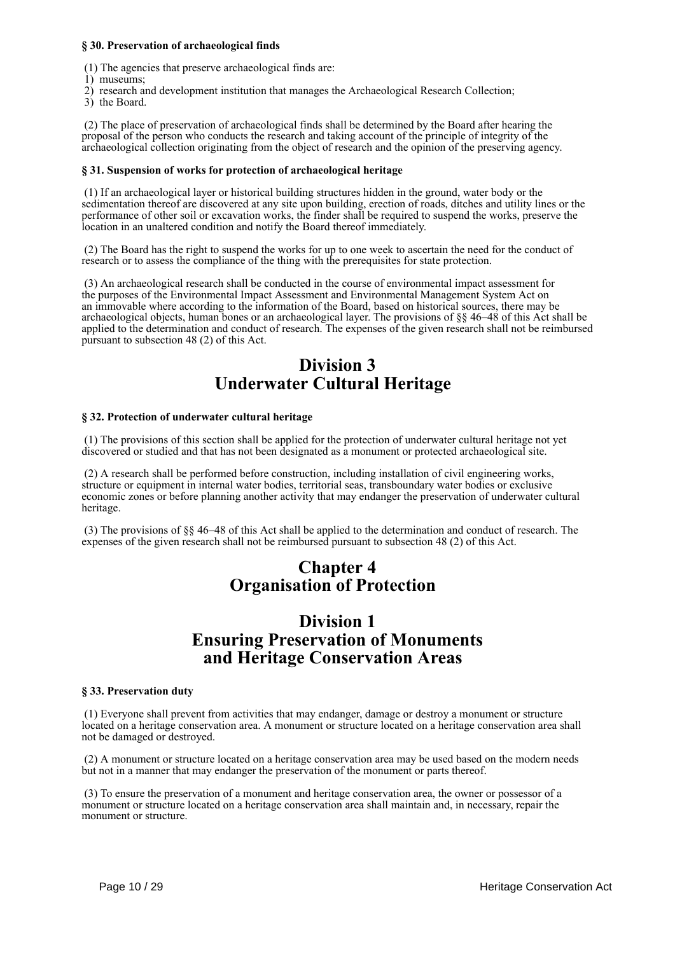## **§ 30. Preservation of archaeological finds**

(1) The agencies that preserve archaeological finds are:

- 1) museums;
- 2) research and development institution that manages the Archaeological Research Collection;
- 3) the Board.

 (2) The place of preservation of archaeological finds shall be determined by the Board after hearing the proposal of the person who conducts the research and taking account of the principle of integrity of the archaeological collection originating from the object of research and the opinion of the preserving agency.

### **§ 31. Suspension of works for protection of archaeological heritage**

 (1) If an archaeological layer or historical building structures hidden in the ground, water body or the sedimentation thereof are discovered at any site upon building, erection of roads, ditches and utility lines or the performance of other soil or excavation works, the finder shall be required to suspend the works, preserve the location in an unaltered condition and notify the Board thereof immediately.

 (2) The Board has the right to suspend the works for up to one week to ascertain the need for the conduct of research or to assess the compliance of the thing with the prerequisites for state protection.

 (3) An archaeological research shall be conducted in the course of environmental impact assessment for the purposes of the Environmental Impact Assessment and Environmental Management System Act on an immovable where according to the information of the Board, based on historical sources, there may be archaeological objects, human bones or an archaeological layer. The provisions of §§ 46–48 of this Act shall be applied to the determination and conduct of research. The expenses of the given research shall not be reimbursed pursuant to subsection 48 (2) of this Act.

# **Division 3 Underwater Cultural Heritage**

## **§ 32. Protection of underwater cultural heritage**

 (1) The provisions of this section shall be applied for the protection of underwater cultural heritage not yet discovered or studied and that has not been designated as a monument or protected archaeological site.

 (2) A research shall be performed before construction, including installation of civil engineering works, structure or equipment in internal water bodies, territorial seas, transboundary water bodies or exclusive economic zones or before planning another activity that may endanger the preservation of underwater cultural heritage.

 (3) The provisions of §§ 46–48 of this Act shall be applied to the determination and conduct of research. The expenses of the given research shall not be reimbursed pursuant to subsection 48 (2) of this Act.

# **Chapter 4 Organisation of Protection**

## **Division 1 Ensuring Preservation of Monuments and Heritage Conservation Areas**

### **§ 33. Preservation duty**

 (1) Everyone shall prevent from activities that may endanger, damage or destroy a monument or structure located on a heritage conservation area. A monument or structure located on a heritage conservation area shall not be damaged or destroyed.

 (2) A monument or structure located on a heritage conservation area may be used based on the modern needs but not in a manner that may endanger the preservation of the monument or parts thereof.

 (3) To ensure the preservation of a monument and heritage conservation area, the owner or possessor of a monument or structure located on a heritage conservation area shall maintain and, in necessary, repair the monument or structure.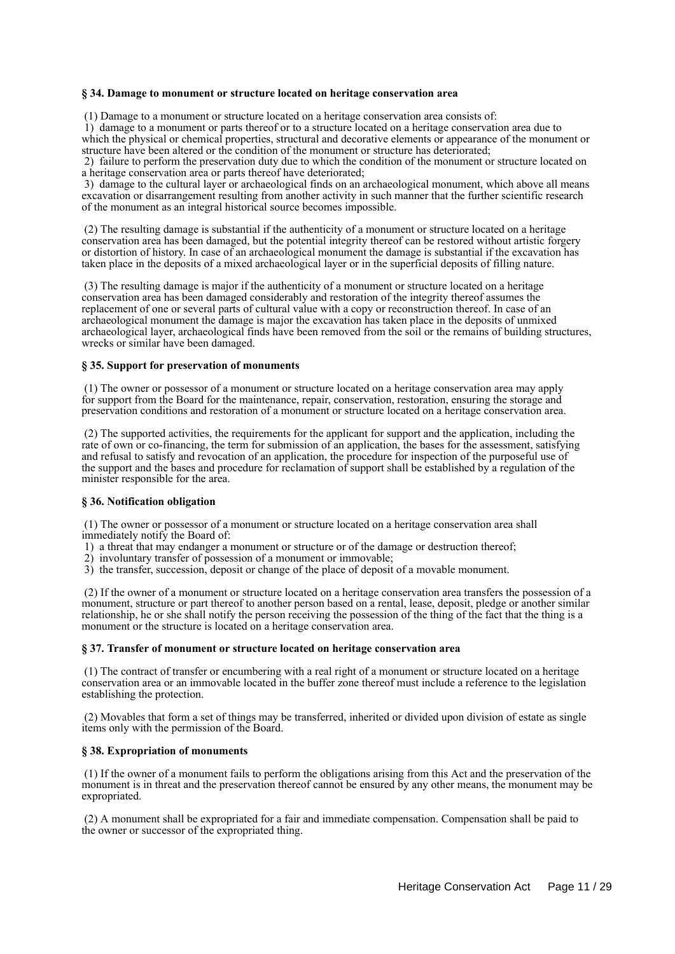#### **§ 34. Damage to monument or structure located on heritage conservation area**

(1) Damage to a monument or structure located on a heritage conservation area consists of:

 1) damage to a monument or parts thereof or to a structure located on a heritage conservation area due to which the physical or chemical properties, structural and decorative elements or appearance of the monument or structure have been altered or the condition of the monument or structure has deteriorated;

 2) failure to perform the preservation duty due to which the condition of the monument or structure located on a heritage conservation area or parts thereof have deteriorated;

 3) damage to the cultural layer or archaeological finds on an archaeological monument, which above all means excavation or disarrangement resulting from another activity in such manner that the further scientific research of the monument as an integral historical source becomes impossible.

 (2) The resulting damage is substantial if the authenticity of a monument or structure located on a heritage conservation area has been damaged, but the potential integrity thereof can be restored without artistic forgery or distortion of history. In case of an archaeological monument the damage is substantial if the excavation has taken place in the deposits of a mixed archaeological layer or in the superficial deposits of filling nature.

 (3) The resulting damage is major if the authenticity of a monument or structure located on a heritage conservation area has been damaged considerably and restoration of the integrity thereof assumes the replacement of one or several parts of cultural value with a copy or reconstruction thereof. In case of an archaeological monument the damage is major the excavation has taken place in the deposits of unmixed archaeological layer, archaeological finds have been removed from the soil or the remains of building structures, wrecks or similar have been damaged.

## **§ 35. Support for preservation of monuments**

 (1) The owner or possessor of a monument or structure located on a heritage conservation area may apply for support from the Board for the maintenance, repair, conservation, restoration, ensuring the storage and preservation conditions and restoration of a monument or structure located on a heritage conservation area.

 (2) The supported activities, the requirements for the applicant for support and the application, including the rate of own or co-financing, the term for submission of an application, the bases for the assessment, satisfying and refusal to satisfy and revocation of an application, the procedure for inspection of the purposeful use of the support and the bases and procedure for reclamation of support shall be established by a regulation of the minister responsible for the area.

### **§ 36. Notification obligation**

 (1) The owner or possessor of a monument or structure located on a heritage conservation area shall immediately notify the Board of:

1) a threat that may endanger a monument or structure or of the damage or destruction thereof;

- 2) involuntary transfer of possession of a monument or immovable;
- 3) the transfer, succession, deposit or change of the place of deposit of a movable monument.

 (2) If the owner of a monument or structure located on a heritage conservation area transfers the possession of a monument, structure or part thereof to another person based on a rental, lease, deposit, pledge or another similar relationship, he or she shall notify the person receiving the possession of the thing of the fact that the thing is a monument or the structure is located on a heritage conservation area.

#### **§ 37. Transfer of monument or structure located on heritage conservation area**

 (1) The contract of transfer or encumbering with a real right of a monument or structure located on a heritage conservation area or an immovable located in the buffer zone thereof must include a reference to the legislation establishing the protection.

 (2) Movables that form a set of things may be transferred, inherited or divided upon division of estate as single items only with the permission of the Board.

### **§ 38. Expropriation of monuments**

 (1) If the owner of a monument fails to perform the obligations arising from this Act and the preservation of the monument is in threat and the preservation thereof cannot be ensured by any other means, the monument may be expropriated.

 (2) A monument shall be expropriated for a fair and immediate compensation. Compensation shall be paid to the owner or successor of the expropriated thing.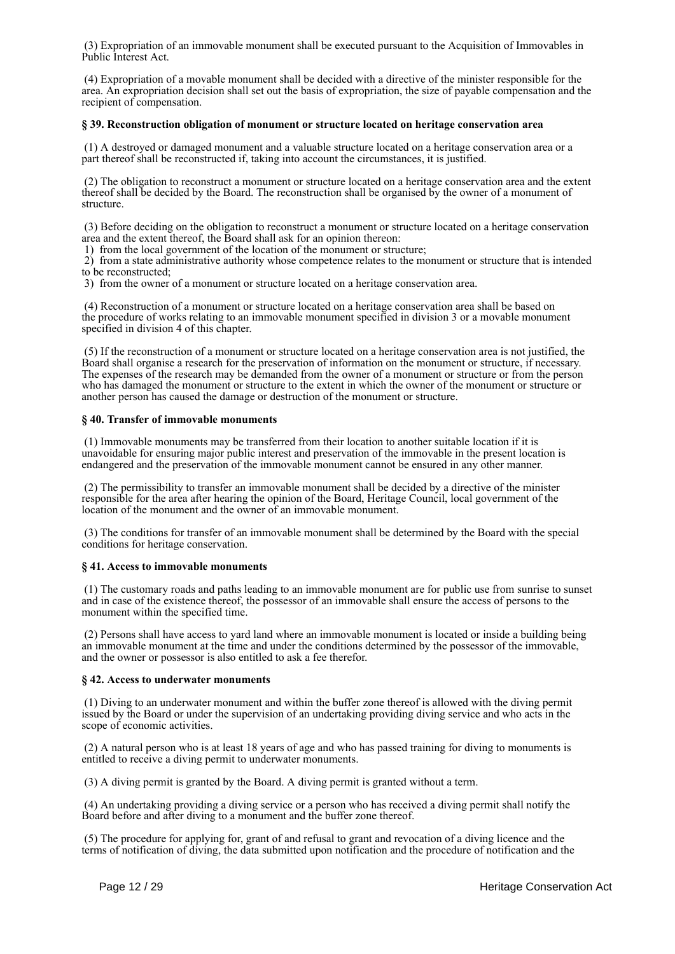(3) Expropriation of an immovable monument shall be executed pursuant to the Acquisition of Immovables in Public Interest Act.

 (4) Expropriation of a movable monument shall be decided with a directive of the minister responsible for the area. An expropriation decision shall set out the basis of expropriation, the size of payable compensation and the recipient of compensation.

#### **§ 39. Reconstruction obligation of monument or structure located on heritage conservation area**

 (1) A destroyed or damaged monument and a valuable structure located on a heritage conservation area or a part thereof shall be reconstructed if, taking into account the circumstances, it is justified.

 (2) The obligation to reconstruct a monument or structure located on a heritage conservation area and the extent thereof shall be decided by the Board. The reconstruction shall be organised by the owner of a monument of structure.

 (3) Before deciding on the obligation to reconstruct a monument or structure located on a heritage conservation area and the extent thereof, the Board shall ask for an opinion thereon:

1) from the local government of the location of the monument or structure;

 2) from a state administrative authority whose competence relates to the monument or structure that is intended to be reconstructed;

3) from the owner of a monument or structure located on a heritage conservation area.

 (4) Reconstruction of a monument or structure located on a heritage conservation area shall be based on the procedure of works relating to an immovable monument specified in division 3 or a movable monument specified in division 4 of this chapter.

 (5) If the reconstruction of a monument or structure located on a heritage conservation area is not justified, the Board shall organise a research for the preservation of information on the monument or structure, if necessary. The expenses of the research may be demanded from the owner of a monument or structure or from the person who has damaged the monument or structure to the extent in which the owner of the monument or structure or another person has caused the damage or destruction of the monument or structure.

### **§ 40. Transfer of immovable monuments**

 (1) Immovable monuments may be transferred from their location to another suitable location if it is unavoidable for ensuring major public interest and preservation of the immovable in the present location is endangered and the preservation of the immovable monument cannot be ensured in any other manner.

 (2) The permissibility to transfer an immovable monument shall be decided by a directive of the minister responsible for the area after hearing the opinion of the Board, Heritage Council, local government of the location of the monument and the owner of an immovable monument.

 (3) The conditions for transfer of an immovable monument shall be determined by the Board with the special conditions for heritage conservation.

### **§ 41. Access to immovable monuments**

 (1) The customary roads and paths leading to an immovable monument are for public use from sunrise to sunset and in case of the existence thereof, the possessor of an immovable shall ensure the access of persons to the monument within the specified time.

 (2) Persons shall have access to yard land where an immovable monument is located or inside a building being an immovable monument at the time and under the conditions determined by the possessor of the immovable, and the owner or possessor is also entitled to ask a fee therefor.

### **§ 42. Access to underwater monuments**

 (1) Diving to an underwater monument and within the buffer zone thereof is allowed with the diving permit issued by the Board or under the supervision of an undertaking providing diving service and who acts in the scope of economic activities.

 (2) A natural person who is at least 18 years of age and who has passed training for diving to monuments is entitled to receive a diving permit to underwater monuments.

(3) A diving permit is granted by the Board. A diving permit is granted without a term.

 (4) An undertaking providing a diving service or a person who has received a diving permit shall notify the Board before and after diving to a monument and the buffer zone thereof.

 (5) The procedure for applying for, grant of and refusal to grant and revocation of a diving licence and the terms of notification of diving, the data submitted upon notification and the procedure of notification and the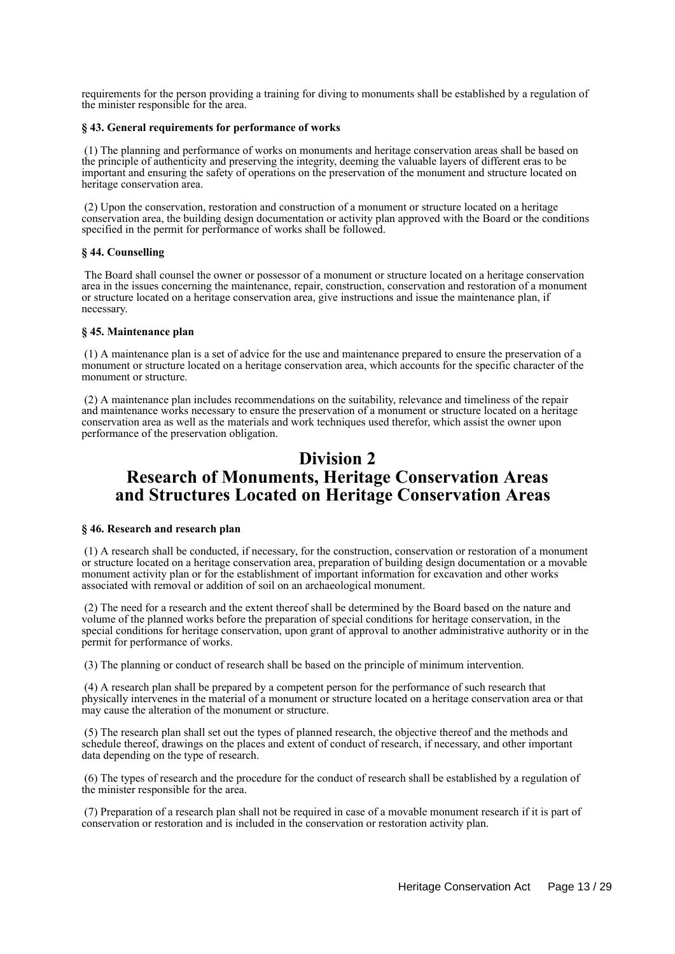requirements for the person providing a training for diving to monuments shall be established by a regulation of the minister responsible for the area.

#### **§ 43. General requirements for performance of works**

 (1) The planning and performance of works on monuments and heritage conservation areas shall be based on the principle of authenticity and preserving the integrity, deeming the valuable layers of different eras to be important and ensuring the safety of operations on the preservation of the monument and structure located on heritage conservation area.

 (2) Upon the conservation, restoration and construction of a monument or structure located on a heritage conservation area, the building design documentation or activity plan approved with the Board or the conditions specified in the permit for performance of works shall be followed.

### **§ 44. Counselling**

 The Board shall counsel the owner or possessor of a monument or structure located on a heritage conservation area in the issues concerning the maintenance, repair, construction, conservation and restoration of a monument or structure located on a heritage conservation area, give instructions and issue the maintenance plan, if necessary.

#### **§ 45. Maintenance plan**

 (1) A maintenance plan is a set of advice for the use and maintenance prepared to ensure the preservation of a monument or structure located on a heritage conservation area, which accounts for the specific character of the monument or structure.

 (2) A maintenance plan includes recommendations on the suitability, relevance and timeliness of the repair and maintenance works necessary to ensure the preservation of a monument or structure located on a heritage conservation area as well as the materials and work techniques used therefor, which assist the owner upon performance of the preservation obligation.

# **Division 2 Research of Monuments, Heritage Conservation Areas and Structures Located on Heritage Conservation Areas**

## **§ 46. Research and research plan**

 (1) A research shall be conducted, if necessary, for the construction, conservation or restoration of a monument or structure located on a heritage conservation area, preparation of building design documentation or a movable monument activity plan or for the establishment of important information for excavation and other works associated with removal or addition of soil on an archaeological monument.

 (2) The need for a research and the extent thereof shall be determined by the Board based on the nature and volume of the planned works before the preparation of special conditions for heritage conservation, in the special conditions for heritage conservation, upon grant of approval to another administrative authority or in the permit for performance of works.

(3) The planning or conduct of research shall be based on the principle of minimum intervention.

 (4) A research plan shall be prepared by a competent person for the performance of such research that physically intervenes in the material of a monument or structure located on a heritage conservation area or that may cause the alteration of the monument or structure.

 (5) The research plan shall set out the types of planned research, the objective thereof and the methods and schedule thereof, drawings on the places and extent of conduct of research, if necessary, and other important data depending on the type of research.

 (6) The types of research and the procedure for the conduct of research shall be established by a regulation of the minister responsible for the area.

 (7) Preparation of a research plan shall not be required in case of a movable monument research if it is part of conservation or restoration and is included in the conservation or restoration activity plan.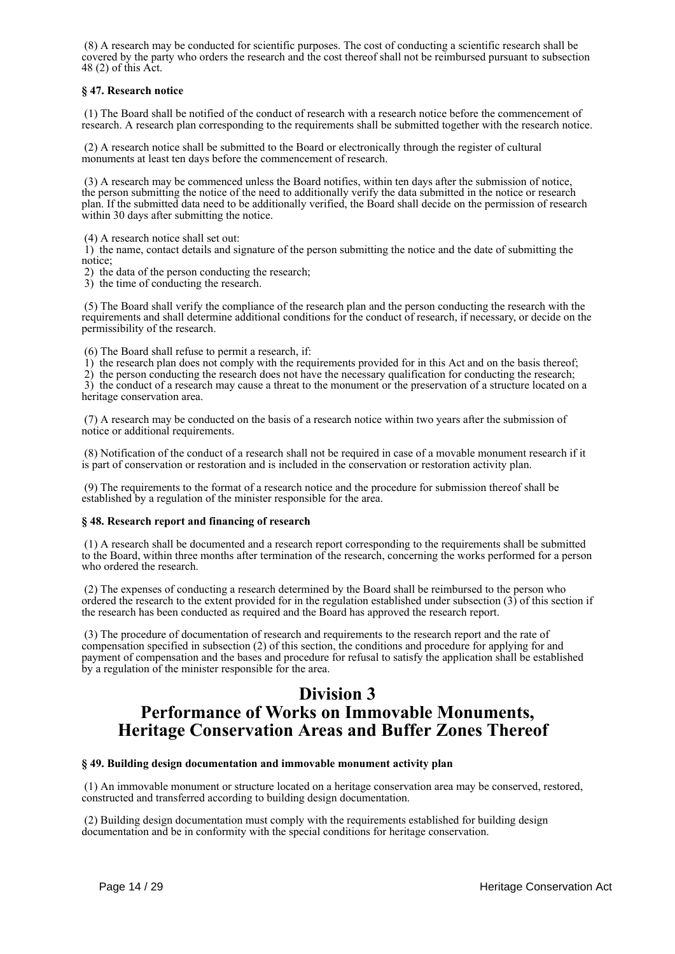(8) A research may be conducted for scientific purposes. The cost of conducting a scientific research shall be covered by the party who orders the research and the cost thereof shall not be reimbursed pursuant to subsection 48 (2) of this Act.

## **§ 47. Research notice**

 (1) The Board shall be notified of the conduct of research with a research notice before the commencement of research. A research plan corresponding to the requirements shall be submitted together with the research notice.

 (2) A research notice shall be submitted to the Board or electronically through the register of cultural monuments at least ten days before the commencement of research.

 (3) A research may be commenced unless the Board notifies, within ten days after the submission of notice, the person submitting the notice of the need to additionally verify the data submitted in the notice or research plan. If the submitted data need to be additionally verified, the Board shall decide on the permission of research within 30 days after submitting the notice.

(4) A research notice shall set out:

 1) the name, contact details and signature of the person submitting the notice and the date of submitting the notice;

2) the data of the person conducting the research;

3) the time of conducting the research.

 (5) The Board shall verify the compliance of the research plan and the person conducting the research with the requirements and shall determine additional conditions for the conduct of research, if necessary, or decide on the permissibility of the research.

(6) The Board shall refuse to permit a research, if:

1) the research plan does not comply with the requirements provided for in this Act and on the basis thereof;

 2) the person conducting the research does not have the necessary qualification for conducting the research; 3) the conduct of a research may cause a threat to the monument or the preservation of a structure located on a

heritage conservation area.

 (7) A research may be conducted on the basis of a research notice within two years after the submission of notice or additional requirements.

 (8) Notification of the conduct of a research shall not be required in case of a movable monument research if it is part of conservation or restoration and is included in the conservation or restoration activity plan.

 (9) The requirements to the format of a research notice and the procedure for submission thereof shall be established by a regulation of the minister responsible for the area.

## **§ 48. Research report and financing of research**

 (1) A research shall be documented and a research report corresponding to the requirements shall be submitted to the Board, within three months after termination of the research, concerning the works performed for a person who ordered the research.

 (2) The expenses of conducting a research determined by the Board shall be reimbursed to the person who ordered the research to the extent provided for in the regulation established under subsection (3) of this section if the research has been conducted as required and the Board has approved the research report.

 (3) The procedure of documentation of research and requirements to the research report and the rate of compensation specified in subsection (2) of this section, the conditions and procedure for applying for and payment of compensation and the bases and procedure for refusal to satisfy the application shall be established by a regulation of the minister responsible for the area.

# **Division 3 Performance of Works on Immovable Monuments, Heritage Conservation Areas and Buffer Zones Thereof**

## **§ 49. Building design documentation and immovable monument activity plan**

 (1) An immovable monument or structure located on a heritage conservation area may be conserved, restored, constructed and transferred according to building design documentation.

 (2) Building design documentation must comply with the requirements established for building design documentation and be in conformity with the special conditions for heritage conservation.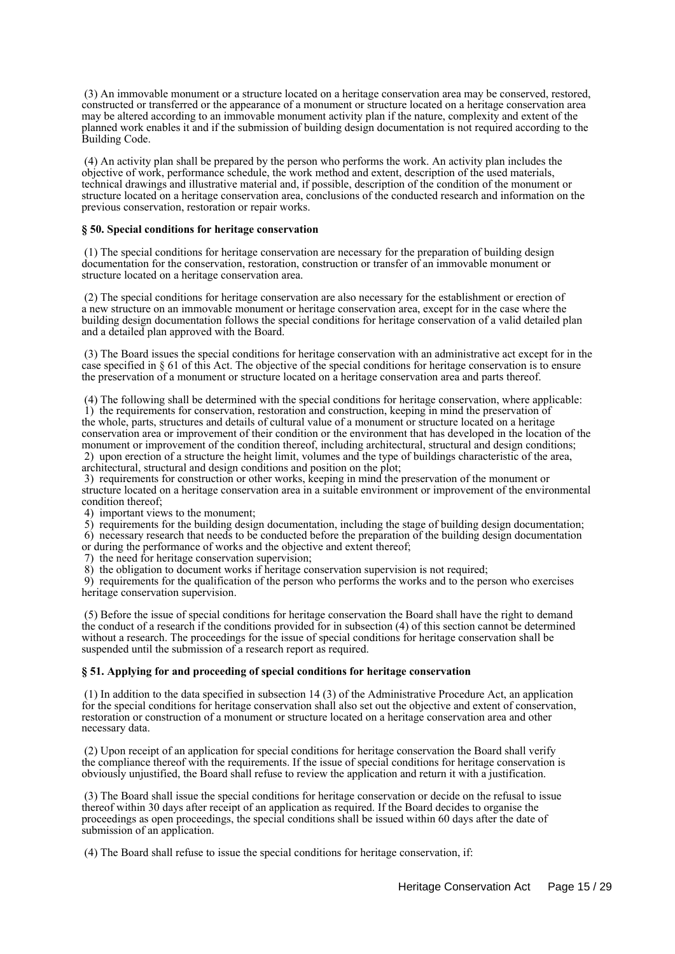(3) An immovable monument or a structure located on a heritage conservation area may be conserved, restored, constructed or transferred or the appearance of a monument or structure located on a heritage conservation area may be altered according to an immovable monument activity plan if the nature, complexity and extent of the planned work enables it and if the submission of building design documentation is not required according to the Building Code.

 (4) An activity plan shall be prepared by the person who performs the work. An activity plan includes the objective of work, performance schedule, the work method and extent, description of the used materials, technical drawings and illustrative material and, if possible, description of the condition of the monument or structure located on a heritage conservation area, conclusions of the conducted research and information on the previous conservation, restoration or repair works.

#### **§ 50. Special conditions for heritage conservation**

 (1) The special conditions for heritage conservation are necessary for the preparation of building design documentation for the conservation, restoration, construction or transfer of an immovable monument or structure located on a heritage conservation area.

 (2) The special conditions for heritage conservation are also necessary for the establishment or erection of a new structure on an immovable monument or heritage conservation area, except for in the case where the building design documentation follows the special conditions for heritage conservation of a valid detailed plan and a detailed plan approved with the Board.

 (3) The Board issues the special conditions for heritage conservation with an administrative act except for in the case specified in § 61 of this Act. The objective of the special conditions for heritage conservation is to ensure the preservation of a monument or structure located on a heritage conservation area and parts thereof.

 (4) The following shall be determined with the special conditions for heritage conservation, where applicable: 1) the requirements for conservation, restoration and construction, keeping in mind the preservation of the whole, parts, structures and details of cultural value of a monument or structure located on a heritage conservation area or improvement of their condition or the environment that has developed in the location of the monument or improvement of the condition thereof, including architectural, structural and design conditions; 2) upon erection of a structure the height limit, volumes and the type of buildings characteristic of the area,

architectural, structural and design conditions and position on the plot;

 3) requirements for construction or other works, keeping in mind the preservation of the monument or structure located on a heritage conservation area in a suitable environment or improvement of the environmental condition thereof;

4) important views to the monument;

 5) requirements for the building design documentation, including the stage of building design documentation; 6) necessary research that needs to be conducted before the preparation of the building design documentation

or during the performance of works and the objective and extent thereof;

7) the need for heritage conservation supervision;

8) the obligation to document works if heritage conservation supervision is not required;

 9) requirements for the qualification of the person who performs the works and to the person who exercises heritage conservation supervision.

 (5) Before the issue of special conditions for heritage conservation the Board shall have the right to demand the conduct of a research if the conditions provided for in subsection (4) of this section cannot be determined without a research. The proceedings for the issue of special conditions for heritage conservation shall be suspended until the submission of a research report as required.

### **§ 51. Applying for and proceeding of special conditions for heritage conservation**

 (1) In addition to the data specified in subsection 14 (3) of the Administrative Procedure Act, an application for the special conditions for heritage conservation shall also set out the objective and extent of conservation, restoration or construction of a monument or structure located on a heritage conservation area and other necessary data.

 (2) Upon receipt of an application for special conditions for heritage conservation the Board shall verify the compliance thereof with the requirements. If the issue of special conditions for heritage conservation is obviously unjustified, the Board shall refuse to review the application and return it with a justification.

 (3) The Board shall issue the special conditions for heritage conservation or decide on the refusal to issue thereof within 30 days after receipt of an application as required. If the Board decides to organise the proceedings as open proceedings, the special conditions shall be issued within 60 days after the date of submission of an application.

(4) The Board shall refuse to issue the special conditions for heritage conservation, if: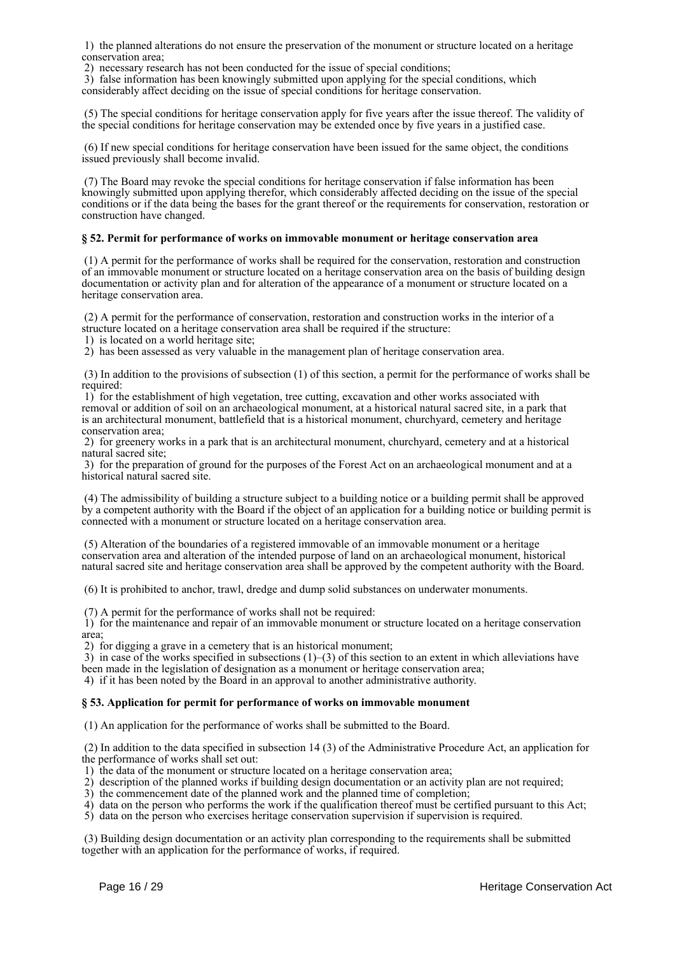1) the planned alterations do not ensure the preservation of the monument or structure located on a heritage conservation area;

2) necessary research has not been conducted for the issue of special conditions;

 3) false information has been knowingly submitted upon applying for the special conditions, which considerably affect deciding on the issue of special conditions for heritage conservation.

 (5) The special conditions for heritage conservation apply for five years after the issue thereof. The validity of the special conditions for heritage conservation may be extended once by five years in a justified case.

 (6) If new special conditions for heritage conservation have been issued for the same object, the conditions issued previously shall become invalid.

 (7) The Board may revoke the special conditions for heritage conservation if false information has been knowingly submitted upon applying therefor, which considerably affected deciding on the issue of the special conditions or if the data being the bases for the grant thereof or the requirements for conservation, restoration or construction have changed.

### **§ 52. Permit for performance of works on immovable monument or heritage conservation area**

 (1) A permit for the performance of works shall be required for the conservation, restoration and construction of an immovable monument or structure located on a heritage conservation area on the basis of building design documentation or activity plan and for alteration of the appearance of a monument or structure located on a heritage conservation area.

 (2) A permit for the performance of conservation, restoration and construction works in the interior of a structure located on a heritage conservation area shall be required if the structure:

1) is located on a world heritage site;

2) has been assessed as very valuable in the management plan of heritage conservation area.

 (3) In addition to the provisions of subsection (1) of this section, a permit for the performance of works shall be required:

 1) for the establishment of high vegetation, tree cutting, excavation and other works associated with removal or addition of soil on an archaeological monument, at a historical natural sacred site, in a park that is an architectural monument, battlefield that is a historical monument, churchyard, cemetery and heritage conservation area;

 2) for greenery works in a park that is an architectural monument, churchyard, cemetery and at a historical natural sacred site;

 3) for the preparation of ground for the purposes of the Forest Act on an archaeological monument and at a historical natural sacred site.

 (4) The admissibility of building a structure subject to a building notice or a building permit shall be approved by a competent authority with the Board if the object of an application for a building notice or building permit is connected with a monument or structure located on a heritage conservation area.

 (5) Alteration of the boundaries of a registered immovable of an immovable monument or a heritage conservation area and alteration of the intended purpose of land on an archaeological monument, historical natural sacred site and heritage conservation area shall be approved by the competent authority with the Board.

(6) It is prohibited to anchor, trawl, dredge and dump solid substances on underwater monuments.

(7) A permit for the performance of works shall not be required:

 1) for the maintenance and repair of an immovable monument or structure located on a heritage conservation area;

2) for digging a grave in a cemetery that is an historical monument;

3) in case of the works specified in subsections  $(1)$ –(3) of this section to an extent in which alleviations have been made in the legislation of designation as a monument or heritage conservation area;

4) if it has been noted by the Board in an approval to another administrative authority.

### **§ 53. Application for permit for performance of works on immovable monument**

(1) An application for the performance of works shall be submitted to the Board.

 (2) In addition to the data specified in subsection 14 (3) of the Administrative Procedure Act, an application for the performance of works shall set out:

1) the data of the monument or structure located on a heritage conservation area;

2) description of the planned works if building design documentation or an activity plan are not required;

3) the commencement date of the planned work and the planned time of completion;

4) data on the person who performs the work if the qualification thereof must be certified pursuant to this Act;

5) data on the person who exercises heritage conservation supervision if supervision is required.

 (3) Building design documentation or an activity plan corresponding to the requirements shall be submitted together with an application for the performance of works, if required.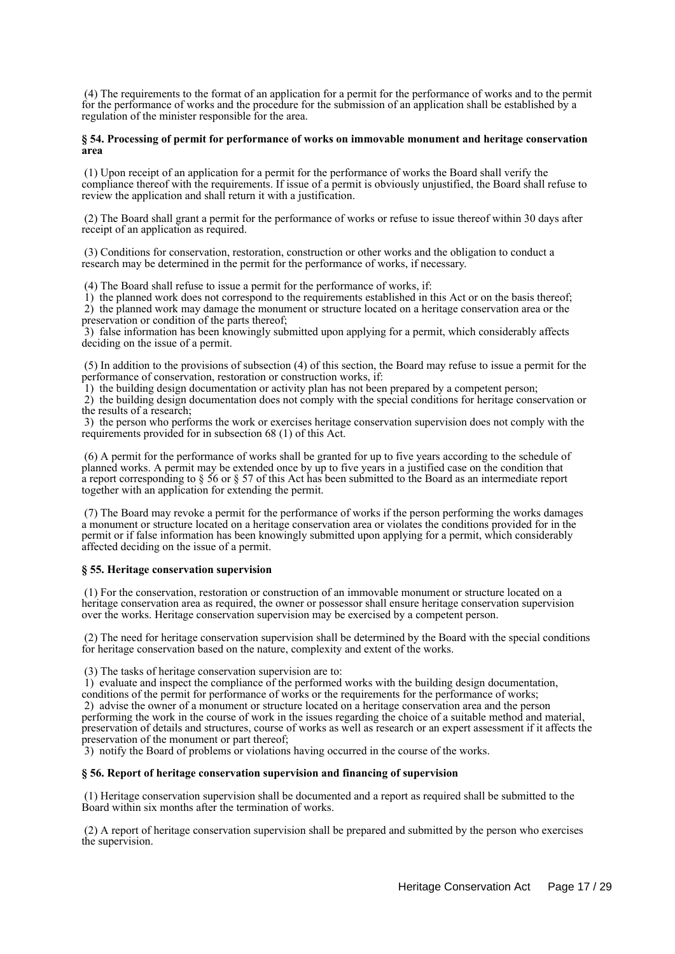(4) The requirements to the format of an application for a permit for the performance of works and to the permit for the performance of works and the procedure for the submission of an application shall be established by a regulation of the minister responsible for the area.

### **§ 54. Processing of permit for performance of works on immovable monument and heritage conservation area**

 (1) Upon receipt of an application for a permit for the performance of works the Board shall verify the compliance thereof with the requirements. If issue of a permit is obviously unjustified, the Board shall refuse to review the application and shall return it with a justification.

 (2) The Board shall grant a permit for the performance of works or refuse to issue thereof within 30 days after receipt of an application as required.

 (3) Conditions for conservation, restoration, construction or other works and the obligation to conduct a research may be determined in the permit for the performance of works, if necessary.

(4) The Board shall refuse to issue a permit for the performance of works, if:

 1) the planned work does not correspond to the requirements established in this Act or on the basis thereof; 2) the planned work may damage the monument or structure located on a heritage conservation area or the preservation or condition of the parts thereof;

 3) false information has been knowingly submitted upon applying for a permit, which considerably affects deciding on the issue of a permit.

 (5) In addition to the provisions of subsection (4) of this section, the Board may refuse to issue a permit for the performance of conservation, restoration or construction works, if:

1) the building design documentation or activity plan has not been prepared by a competent person;

 2) the building design documentation does not comply with the special conditions for heritage conservation or the results of a research;

 3) the person who performs the work or exercises heritage conservation supervision does not comply with the requirements provided for in subsection 68 (1) of this Act.

 (6) A permit for the performance of works shall be granted for up to five years according to the schedule of planned works. A permit may be extended once by up to five years in a justified case on the condition that a report corresponding to § 56 or § 57 of this Act has been submitted to the Board as an intermediate report together with an application for extending the permit.

 (7) The Board may revoke a permit for the performance of works if the person performing the works damages a monument or structure located on a heritage conservation area or violates the conditions provided for in the permit or if false information has been knowingly submitted upon applying for a permit, which considerably affected deciding on the issue of a permit.

### **§ 55. Heritage conservation supervision**

 (1) For the conservation, restoration or construction of an immovable monument or structure located on a heritage conservation area as required, the owner or possessor shall ensure heritage conservation supervision over the works. Heritage conservation supervision may be exercised by a competent person.

 (2) The need for heritage conservation supervision shall be determined by the Board with the special conditions for heritage conservation based on the nature, complexity and extent of the works.

(3) The tasks of heritage conservation supervision are to:

 1) evaluate and inspect the compliance of the performed works with the building design documentation, conditions of the permit for performance of works or the requirements for the performance of works;

 2) advise the owner of a monument or structure located on a heritage conservation area and the person performing the work in the course of work in the issues regarding the choice of a suitable method and material, preservation of details and structures, course of works as well as research or an expert assessment if it affects the preservation of the monument or part thereof;

3) notify the Board of problems or violations having occurred in the course of the works.

### **§ 56. Report of heritage conservation supervision and financing of supervision**

 (1) Heritage conservation supervision shall be documented and a report as required shall be submitted to the Board within six months after the termination of works.

 (2) A report of heritage conservation supervision shall be prepared and submitted by the person who exercises the supervision.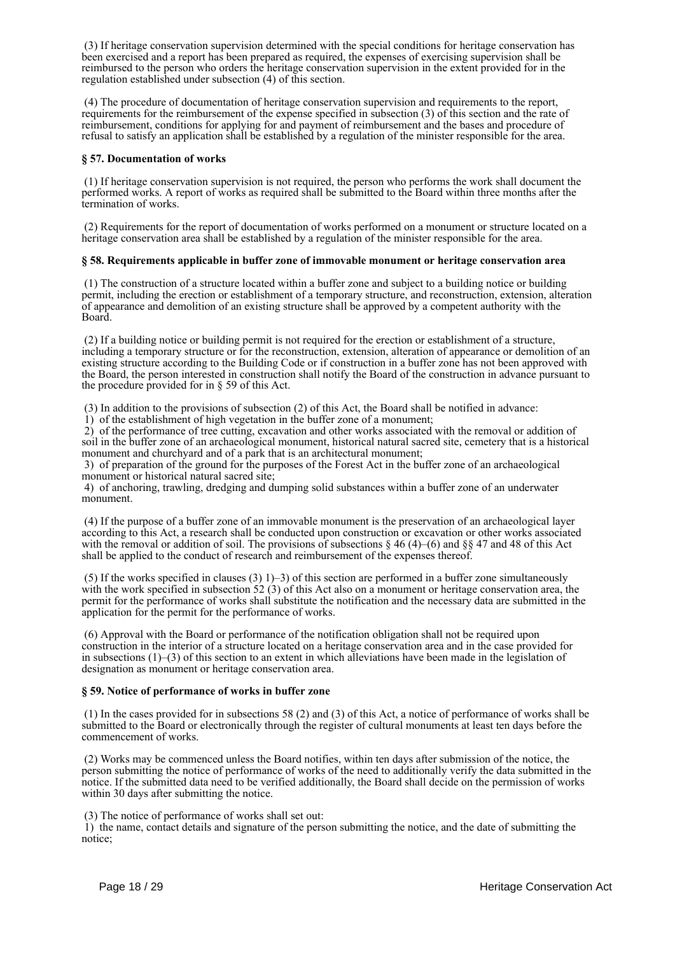(3) If heritage conservation supervision determined with the special conditions for heritage conservation has been exercised and a report has been prepared as required, the expenses of exercising supervision shall be reimbursed to the person who orders the heritage conservation supervision in the extent provided for in the regulation established under subsection (4) of this section.

 (4) The procedure of documentation of heritage conservation supervision and requirements to the report, requirements for the reimbursement of the expense specified in subsection (3) of this section and the rate of reimbursement, conditions for applying for and payment of reimbursement and the bases and procedure of refusal to satisfy an application shall be established by a regulation of the minister responsible for the area.

### **§ 57. Documentation of works**

 (1) If heritage conservation supervision is not required, the person who performs the work shall document the performed works. A report of works as required shall be submitted to the Board within three months after the termination of works.

 (2) Requirements for the report of documentation of works performed on a monument or structure located on a heritage conservation area shall be established by a regulation of the minister responsible for the area.

## **§ 58. Requirements applicable in buffer zone of immovable monument or heritage conservation area**

 (1) The construction of a structure located within a buffer zone and subject to a building notice or building permit, including the erection or establishment of a temporary structure, and reconstruction, extension, alteration of appearance and demolition of an existing structure shall be approved by a competent authority with the Board.

 (2) If a building notice or building permit is not required for the erection or establishment of a structure, including a temporary structure or for the reconstruction, extension, alteration of appearance or demolition of an existing structure according to the Building Code or if construction in a buffer zone has not been approved with the Board, the person interested in construction shall notify the Board of the construction in advance pursuant to the procedure provided for in § 59 of this Act.

(3) In addition to the provisions of subsection (2) of this Act, the Board shall be notified in advance:

1) of the establishment of high vegetation in the buffer zone of a monument;

 2) of the performance of tree cutting, excavation and other works associated with the removal or addition of soil in the buffer zone of an archaeological monument, historical natural sacred site, cemetery that is a historical monument and churchyard and of a park that is an architectural monument;

 3) of preparation of the ground for the purposes of the Forest Act in the buffer zone of an archaeological monument or historical natural sacred site;

 4) of anchoring, trawling, dredging and dumping solid substances within a buffer zone of an underwater monument.

 (4) If the purpose of a buffer zone of an immovable monument is the preservation of an archaeological layer according to this Act, a research shall be conducted upon construction or excavation or other works associated with the removal or addition of soil. The provisions of subsections  $\S 46 (4)$ –(6) and  $\S \$  47 and 48 of this Act shall be applied to the conduct of research and reimbursement of the expenses thereof.

(5) If the works specified in clauses (3)  $1$ )–3) of this section are performed in a buffer zone simultaneously with the work specified in subsection 52 (3) of this Act also on a monument or heritage conservation area, the permit for the performance of works shall substitute the notification and the necessary data are submitted in the application for the permit for the performance of works.

 (6) Approval with the Board or performance of the notification obligation shall not be required upon construction in the interior of a structure located on a heritage conservation area and in the case provided for in subsections  $(1)$ –(3) of this section to an extent in which alleviations have been made in the legislation of designation as monument or heritage conservation area.

### **§ 59. Notice of performance of works in buffer zone**

 (1) In the cases provided for in subsections 58 (2) and (3) of this Act, a notice of performance of works shall be submitted to the Board or electronically through the register of cultural monuments at least ten days before the commencement of works.

 (2) Works may be commenced unless the Board notifies, within ten days after submission of the notice, the person submitting the notice of performance of works of the need to additionally verify the data submitted in the notice. If the submitted data need to be verified additionally, the Board shall decide on the permission of works within 30 days after submitting the notice.

(3) The notice of performance of works shall set out:

 1) the name, contact details and signature of the person submitting the notice, and the date of submitting the notice;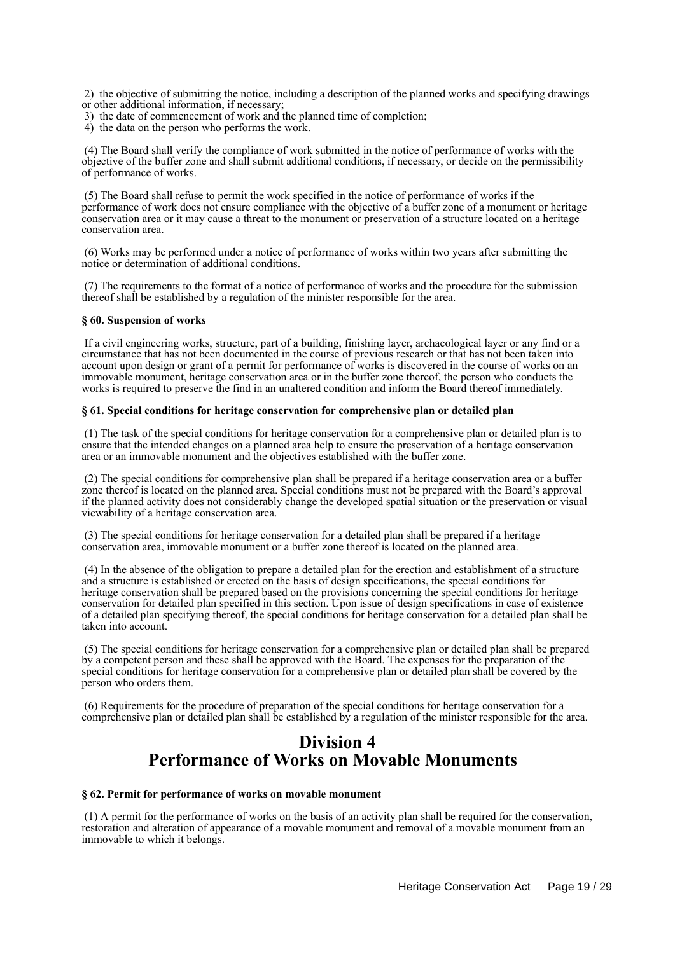2) the objective of submitting the notice, including a description of the planned works and specifying drawings or other additional information, if necessary;

- 3) the date of commencement of work and the planned time of completion;
- 4) the data on the person who performs the work.

 (4) The Board shall verify the compliance of work submitted in the notice of performance of works with the objective of the buffer zone and shall submit additional conditions, if necessary, or decide on the permissibility of performance of works.

 (5) The Board shall refuse to permit the work specified in the notice of performance of works if the performance of work does not ensure compliance with the objective of a buffer zone of a monument or heritage conservation area or it may cause a threat to the monument or preservation of a structure located on a heritage conservation area.

 (6) Works may be performed under a notice of performance of works within two years after submitting the notice or determination of additional conditions.

 (7) The requirements to the format of a notice of performance of works and the procedure for the submission thereof shall be established by a regulation of the minister responsible for the area.

### **§ 60. Suspension of works**

 If a civil engineering works, structure, part of a building, finishing layer, archaeological layer or any find or a circumstance that has not been documented in the course of previous research or that has not been taken into account upon design or grant of a permit for performance of works is discovered in the course of works on an immovable monument, heritage conservation area or in the buffer zone thereof, the person who conducts the works is required to preserve the find in an unaltered condition and inform the Board thereof immediately.

## **§ 61. Special conditions for heritage conservation for comprehensive plan or detailed plan**

 (1) The task of the special conditions for heritage conservation for a comprehensive plan or detailed plan is to ensure that the intended changes on a planned area help to ensure the preservation of a heritage conservation area or an immovable monument and the objectives established with the buffer zone.

 (2) The special conditions for comprehensive plan shall be prepared if a heritage conservation area or a buffer zone thereof is located on the planned area. Special conditions must not be prepared with the Board's approval if the planned activity does not considerably change the developed spatial situation or the preservation or visual viewability of a heritage conservation area.

 (3) The special conditions for heritage conservation for a detailed plan shall be prepared if a heritage conservation area, immovable monument or a buffer zone thereof is located on the planned area.

 (4) In the absence of the obligation to prepare a detailed plan for the erection and establishment of a structure and a structure is established or erected on the basis of design specifications, the special conditions for heritage conservation shall be prepared based on the provisions concerning the special conditions for heritage conservation for detailed plan specified in this section. Upon issue of design specifications in case of existence of a detailed plan specifying thereof, the special conditions for heritage conservation for a detailed plan shall be taken into account.

 (5) The special conditions for heritage conservation for a comprehensive plan or detailed plan shall be prepared by a competent person and these shall be approved with the Board. The expenses for the preparation of the special conditions for heritage conservation for a comprehensive plan or detailed plan shall be covered by the person who orders them.

 (6) Requirements for the procedure of preparation of the special conditions for heritage conservation for a comprehensive plan or detailed plan shall be established by a regulation of the minister responsible for the area.

# **Division 4 Performance of Works on Movable Monuments**

### **§ 62. Permit for performance of works on movable monument**

 (1) A permit for the performance of works on the basis of an activity plan shall be required for the conservation, restoration and alteration of appearance of a movable monument and removal of a movable monument from an immovable to which it belongs.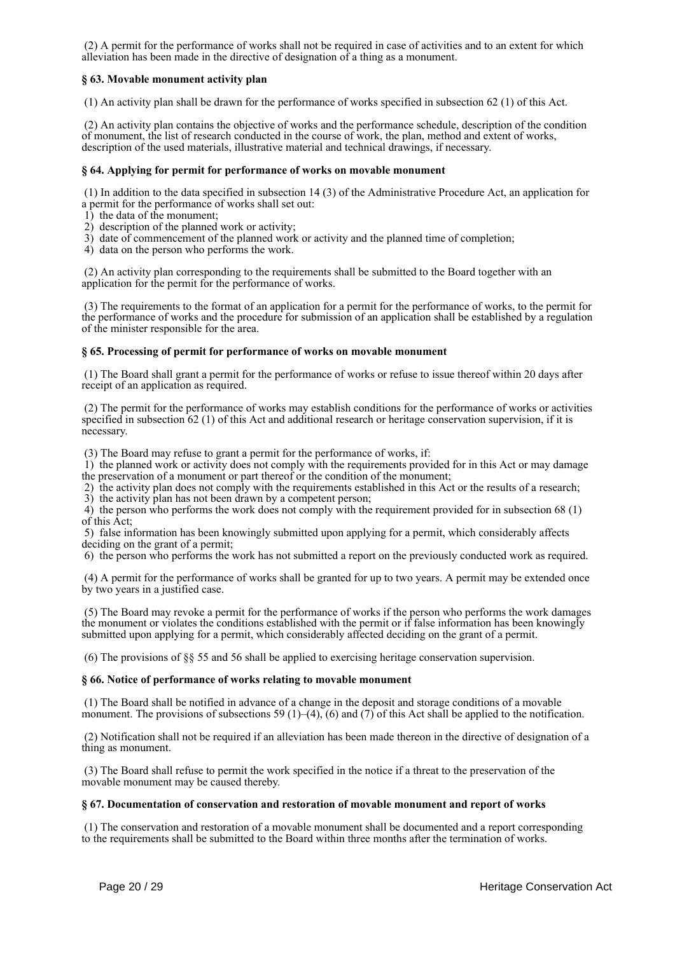(2) A permit for the performance of works shall not be required in case of activities and to an extent for which alleviation has been made in the directive of designation of a thing as a monument.

## **§ 63. Movable monument activity plan**

(1) An activity plan shall be drawn for the performance of works specified in subsection 62 (1) of this Act.

 (2) An activity plan contains the objective of works and the performance schedule, description of the condition of monument, the list of research conducted in the course of work, the plan, method and extent of works, description of the used materials, illustrative material and technical drawings, if necessary.

### **§ 64. Applying for permit for performance of works on movable monument**

 (1) In addition to the data specified in subsection 14 (3) of the Administrative Procedure Act, an application for a permit for the performance of works shall set out:

- 1) the data of the monument;
- 2) description of the planned work or activity;
- 3) date of commencement of the planned work or activity and the planned time of completion;
- 4) data on the person who performs the work.

 (2) An activity plan corresponding to the requirements shall be submitted to the Board together with an application for the permit for the performance of works.

 (3) The requirements to the format of an application for a permit for the performance of works, to the permit for the performance of works and the procedure for submission of an application shall be established by a regulation of the minister responsible for the area.

### **§ 65. Processing of permit for performance of works on movable monument**

 (1) The Board shall grant a permit for the performance of works or refuse to issue thereof within 20 days after receipt of an application as required.

 (2) The permit for the performance of works may establish conditions for the performance of works or activities specified in subsection 62 (1) of this Act and additional research or heritage conservation supervision, if it is necessary.

(3) The Board may refuse to grant a permit for the performance of works, if:

 1) the planned work or activity does not comply with the requirements provided for in this Act or may damage the preservation of a monument or part thereof or the condition of the monument;

 2) the activity plan does not comply with the requirements established in this Act or the results of a research; 3) the activity plan has not been drawn by a competent person;

 4) the person who performs the work does not comply with the requirement provided for in subsection 68 (1) of this Act;

 5) false information has been knowingly submitted upon applying for a permit, which considerably affects deciding on the grant of a permit;

6) the person who performs the work has not submitted a report on the previously conducted work as required.

 (4) A permit for the performance of works shall be granted for up to two years. A permit may be extended once by two years in a justified case.

 (5) The Board may revoke a permit for the performance of works if the person who performs the work damages the monument or violates the conditions established with the permit or if false information has been knowingly submitted upon applying for a permit, which considerably affected deciding on the grant of a permit.

(6) The provisions of §§ 55 and 56 shall be applied to exercising heritage conservation supervision.

## **§ 66. Notice of performance of works relating to movable monument**

 (1) The Board shall be notified in advance of a change in the deposit and storage conditions of a movable monument. The provisions of subsections 59 (1)–(4), (6) and (7) of this Act shall be applied to the notification.

 (2) Notification shall not be required if an alleviation has been made thereon in the directive of designation of a thing as monument.

 (3) The Board shall refuse to permit the work specified in the notice if a threat to the preservation of the movable monument may be caused thereby.

### **§ 67. Documentation of conservation and restoration of movable monument and report of works**

 (1) The conservation and restoration of a movable monument shall be documented and a report corresponding to the requirements shall be submitted to the Board within three months after the termination of works.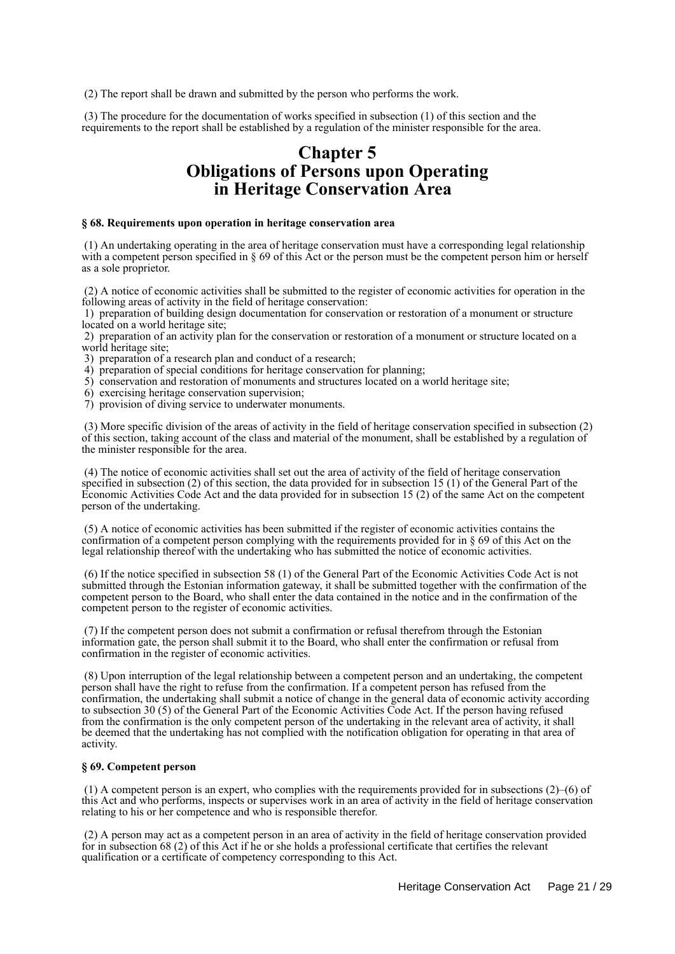(2) The report shall be drawn and submitted by the person who performs the work.

 (3) The procedure for the documentation of works specified in subsection (1) of this section and the requirements to the report shall be established by a regulation of the minister responsible for the area.

# **Chapter 5 Obligations of Persons upon Operating in Heritage Conservation Area**

#### **§ 68. Requirements upon operation in heritage conservation area**

 (1) An undertaking operating in the area of heritage conservation must have a corresponding legal relationship with a competent person specified in § 69 of this Act or the person must be the competent person him or herself as a sole proprietor.

 (2) A notice of economic activities shall be submitted to the register of economic activities for operation in the following areas of activity in the field of heritage conservation:

 1) preparation of building design documentation for conservation or restoration of a monument or structure located on a world heritage site;

 2) preparation of an activity plan for the conservation or restoration of a monument or structure located on a world heritage site;

3) preparation of a research plan and conduct of a research;

4) preparation of special conditions for heritage conservation for planning;

5) conservation and restoration of monuments and structures located on a world heritage site;

- 6) exercising heritage conservation supervision;
- 7) provision of diving service to underwater monuments.

 (3) More specific division of the areas of activity in the field of heritage conservation specified in subsection (2) of this section, taking account of the class and material of the monument, shall be established by a regulation of the minister responsible for the area.

 (4) The notice of economic activities shall set out the area of activity of the field of heritage conservation specified in subsection (2) of this section, the data provided for in subsection 15 (1) of the General Part of the Economic Activities Code Act and the data provided for in subsection 15 (2) of the same Act on the competent person of the undertaking.

 (5) A notice of economic activities has been submitted if the register of economic activities contains the confirmation of a competent person complying with the requirements provided for in § 69 of this Act on the legal relationship thereof with the undertaking who has submitted the notice of economic activities.

 (6) If the notice specified in subsection 58 (1) of the General Part of the Economic Activities Code Act is not submitted through the Estonian information gateway, it shall be submitted together with the confirmation of the competent person to the Board, who shall enter the data contained in the notice and in the confirmation of the competent person to the register of economic activities.

 (7) If the competent person does not submit a confirmation or refusal therefrom through the Estonian information gate, the person shall submit it to the Board, who shall enter the confirmation or refusal from confirmation in the register of economic activities.

 (8) Upon interruption of the legal relationship between a competent person and an undertaking, the competent person shall have the right to refuse from the confirmation. If a competent person has refused from the confirmation, the undertaking shall submit a notice of change in the general data of economic activity according to subsection 30 (5) of the General Part of the Economic Activities Code Act. If the person having refused from the confirmation is the only competent person of the undertaking in the relevant area of activity, it shall be deemed that the undertaking has not complied with the notification obligation for operating in that area of activity.

### **§ 69. Competent person**

(1) A competent person is an expert, who complies with the requirements provided for in subsections  $(2)$ – $(6)$  of this Act and who performs, inspects or supervises work in an area of activity in the field of heritage conservation relating to his or her competence and who is responsible therefor.

 (2) A person may act as a competent person in an area of activity in the field of heritage conservation provided for in subsection 68 (2) of this Act if he or she holds a professional certificate that certifies the relevant qualification or a certificate of competency corresponding to this Act.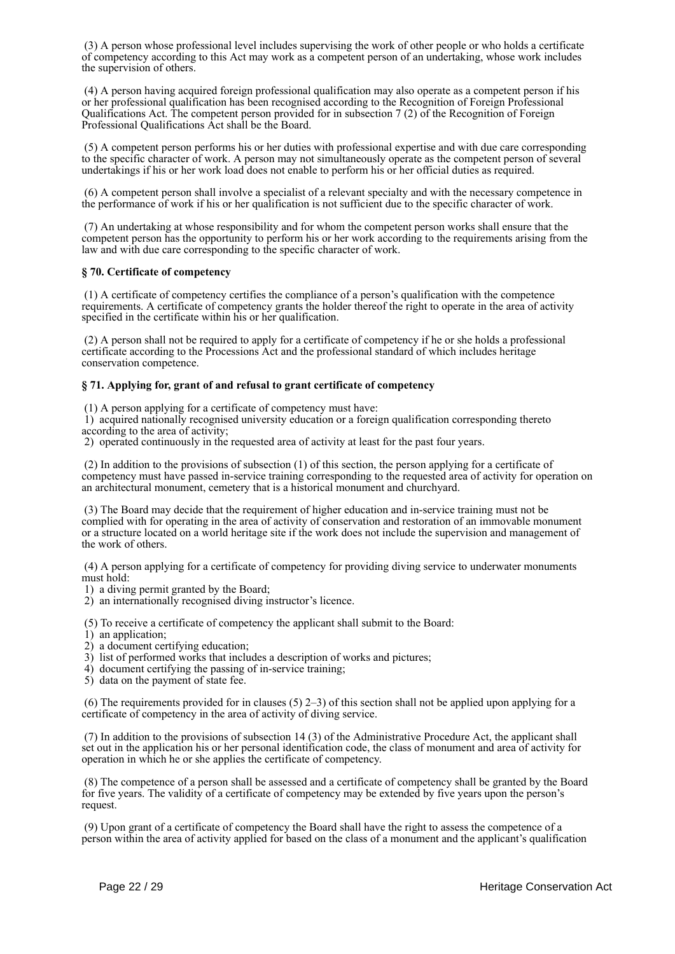(3) A person whose professional level includes supervising the work of other people or who holds a certificate of competency according to this Act may work as a competent person of an undertaking, whose work includes the supervision of others.

 (4) A person having acquired foreign professional qualification may also operate as a competent person if his or her professional qualification has been recognised according to the Recognition of Foreign Professional Qualifications Act. The competent person provided for in subsection 7 (2) of the Recognition of Foreign Professional Qualifications Act shall be the Board.

 (5) A competent person performs his or her duties with professional expertise and with due care corresponding to the specific character of work. A person may not simultaneously operate as the competent person of several undertakings if his or her work load does not enable to perform his or her official duties as required.

 (6) A competent person shall involve a specialist of a relevant specialty and with the necessary competence in the performance of work if his or her qualification is not sufficient due to the specific character of work.

 (7) An undertaking at whose responsibility and for whom the competent person works shall ensure that the competent person has the opportunity to perform his or her work according to the requirements arising from the law and with due care corresponding to the specific character of work.

## **§ 70. Certificate of competency**

 (1) A certificate of competency certifies the compliance of a person's qualification with the competence requirements. A certificate of competency grants the holder thereof the right to operate in the area of activity specified in the certificate within his or her qualification.

 (2) A person shall not be required to apply for a certificate of competency if he or she holds a professional certificate according to the Processions Act and the professional standard of which includes heritage conservation competence.

## **§ 71. Applying for, grant of and refusal to grant certificate of competency**

(1) A person applying for a certificate of competency must have:

 1) acquired nationally recognised university education or a foreign qualification corresponding thereto according to the area of activity;

2) operated continuously in the requested area of activity at least for the past four years.

 (2) In addition to the provisions of subsection (1) of this section, the person applying for a certificate of competency must have passed in-service training corresponding to the requested area of activity for operation on an architectural monument, cemetery that is a historical monument and churchyard.

 (3) The Board may decide that the requirement of higher education and in-service training must not be complied with for operating in the area of activity of conservation and restoration of an immovable monument or a structure located on a world heritage site if the work does not include the supervision and management of the work of others.

 (4) A person applying for a certificate of competency for providing diving service to underwater monuments must hold:

1) a diving permit granted by the Board;

2) an internationally recognised diving instructor's licence.

(5) To receive a certificate of competency the applicant shall submit to the Board:

- 1) an application;
- 2) a document certifying education;
- 3) list of performed works that includes a description of works and pictures;
- 4) document certifying the passing of in-service training;
- 5) data on the payment of state fee.

 (6) The requirements provided for in clauses (5) 2–3) of this section shall not be applied upon applying for a certificate of competency in the area of activity of diving service.

 (7) In addition to the provisions of subsection 14 (3) of the Administrative Procedure Act, the applicant shall set out in the application his or her personal identification code, the class of monument and area of activity for operation in which he or she applies the certificate of competency.

 (8) The competence of a person shall be assessed and a certificate of competency shall be granted by the Board for five years. The validity of a certificate of competency may be extended by five years upon the person's request.

 (9) Upon grant of a certificate of competency the Board shall have the right to assess the competence of a person within the area of activity applied for based on the class of a monument and the applicant's qualification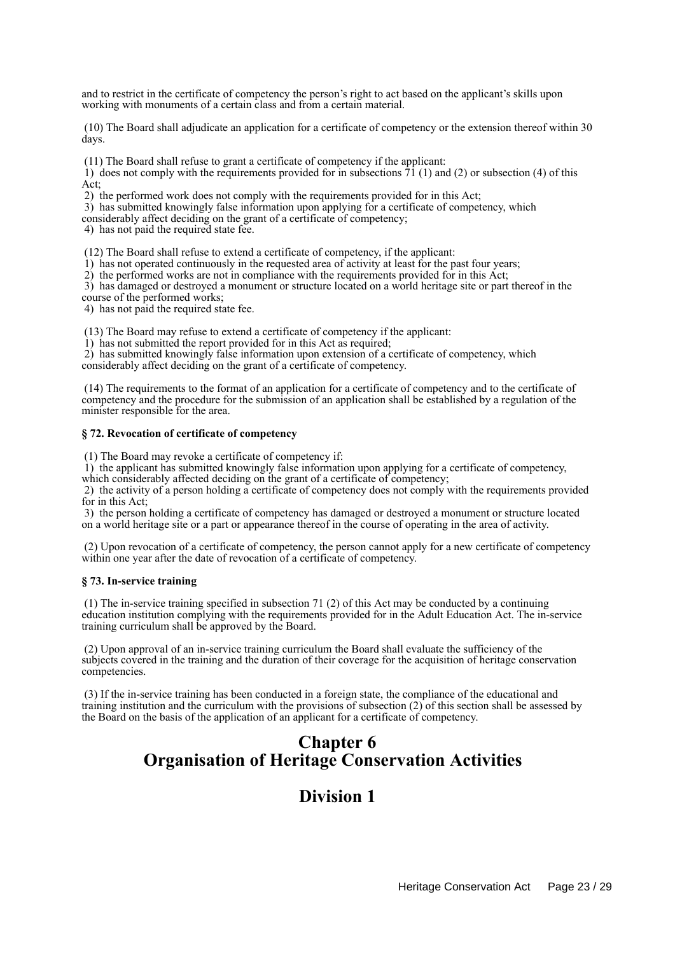and to restrict in the certificate of competency the person's right to act based on the applicant's skills upon working with monuments of a certain class and from a certain material.

 (10) The Board shall adjudicate an application for a certificate of competency or the extension thereof within 30 days.

(11) The Board shall refuse to grant a certificate of competency if the applicant:

1) does not comply with the requirements provided for in subsections  $\overline{71}$  (1) and (2) or subsection (4) of this Act;

2) the performed work does not comply with the requirements provided for in this Act;

3) has submitted knowingly false information upon applying for a certificate of competency, which

considerably affect deciding on the grant of a certificate of competency;

4) has not paid the required state fee.

(12) The Board shall refuse to extend a certificate of competency, if the applicant:

1) has not operated continuously in the requested area of activity at least for the past four years;

2) the performed works are not in compliance with the requirements provided for in this Act;

 3) has damaged or destroyed a monument or structure located on a world heritage site or part thereof in the course of the performed works;

4) has not paid the required state fee.

(13) The Board may refuse to extend a certificate of competency if the applicant:

1) has not submitted the report provided for in this Act as required;

 2) has submitted knowingly false information upon extension of a certificate of competency, which considerably affect deciding on the grant of a certificate of competency.

 (14) The requirements to the format of an application for a certificate of competency and to the certificate of competency and the procedure for the submission of an application shall be established by a regulation of the minister responsible for the area.

### **§ 72. Revocation of certificate of competency**

(1) The Board may revoke a certificate of competency if:

1) the applicant has submitted knowingly false information upon applying for a certificate of competency,

which considerably affected deciding on the grant of a certificate of competency;

 2) the activity of a person holding a certificate of competency does not comply with the requirements provided for in this Act;

 3) the person holding a certificate of competency has damaged or destroyed a monument or structure located on a world heritage site or a part or appearance thereof in the course of operating in the area of activity.

 (2) Upon revocation of a certificate of competency, the person cannot apply for a new certificate of competency within one year after the date of revocation of a certificate of competency.

#### **§ 73. In-service training**

 (1) The in-service training specified in subsection 71 (2) of this Act may be conducted by a continuing education institution complying with the requirements provided for in the Adult Education Act. The in-service training curriculum shall be approved by the Board.

 (2) Upon approval of an in-service training curriculum the Board shall evaluate the sufficiency of the subjects covered in the training and the duration of their coverage for the acquisition of heritage conservation competencies.

 (3) If the in-service training has been conducted in a foreign state, the compliance of the educational and training institution and the curriculum with the provisions of subsection (2) of this section shall be assessed by the Board on the basis of the application of an applicant for a certificate of competency.

# **Chapter 6 Organisation of Heritage Conservation Activities**

## **Division 1**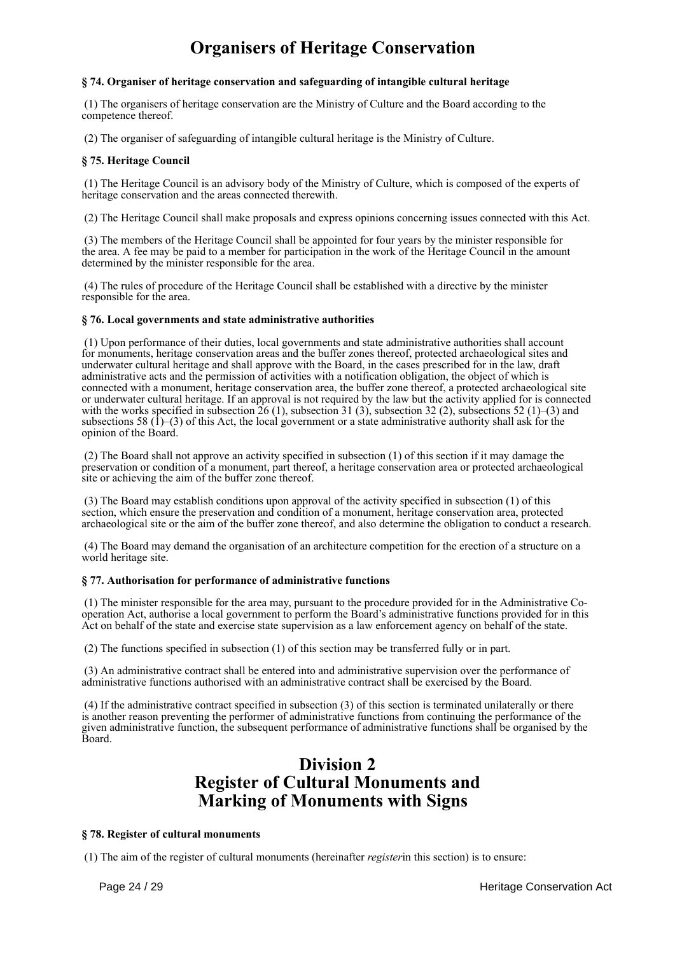# **Organisers of Heritage Conservation**

## **§ 74. Organiser of heritage conservation and safeguarding of intangible cultural heritage**

 (1) The organisers of heritage conservation are the Ministry of Culture and the Board according to the competence thereof.

(2) The organiser of safeguarding of intangible cultural heritage is the Ministry of Culture.

## **§ 75. Heritage Council**

 (1) The Heritage Council is an advisory body of the Ministry of Culture, which is composed of the experts of heritage conservation and the areas connected therewith.

(2) The Heritage Council shall make proposals and express opinions concerning issues connected with this Act.

 (3) The members of the Heritage Council shall be appointed for four years by the minister responsible for the area. A fee may be paid to a member for participation in the work of the Heritage Council in the amount determined by the minister responsible for the area.

 (4) The rules of procedure of the Heritage Council shall be established with a directive by the minister responsible for the area.

### **§ 76. Local governments and state administrative authorities**

 (1) Upon performance of their duties, local governments and state administrative authorities shall account for monuments, heritage conservation areas and the buffer zones thereof, protected archaeological sites and underwater cultural heritage and shall approve with the Board, in the cases prescribed for in the law, draft administrative acts and the permission of activities with a notification obligation, the object of which is connected with a monument, heritage conservation area, the buffer zone thereof, a protected archaeological site or underwater cultural heritage. If an approval is not required by the law but the activity applied for is connected with the works specified in subsection  $\overline{26}$  (1), subsection 31 (3), subsection 32 (2), subsections 52 (1)–(3) and subsections 58  $(1)$ –(3) of this Act, the local government or a state administrative authority shall ask for the opinion of the Board.

 (2) The Board shall not approve an activity specified in subsection (1) of this section if it may damage the preservation or condition of a monument, part thereof, a heritage conservation area or protected archaeological site or achieving the aim of the buffer zone thereof.

 (3) The Board may establish conditions upon approval of the activity specified in subsection (1) of this section, which ensure the preservation and condition of a monument, heritage conservation area, protected archaeological site or the aim of the buffer zone thereof, and also determine the obligation to conduct a research.

 (4) The Board may demand the organisation of an architecture competition for the erection of a structure on a world heritage site.

## **§ 77. Authorisation for performance of administrative functions**

 (1) The minister responsible for the area may, pursuant to the procedure provided for in the Administrative Cooperation Act, authorise a local government to perform the Board's administrative functions provided for in this Act on behalf of the state and exercise state supervision as a law enforcement agency on behalf of the state.

(2) The functions specified in subsection (1) of this section may be transferred fully or in part.

 (3) An administrative contract shall be entered into and administrative supervision over the performance of administrative functions authorised with an administrative contract shall be exercised by the Board.

 (4) If the administrative contract specified in subsection (3) of this section is terminated unilaterally or there is another reason preventing the performer of administrative functions from continuing the performance of the given administrative function, the subsequent performance of administrative functions shall be organised by the Board.

# **Division 2 Register of Cultural Monuments and Marking of Monuments with Signs**

### **§ 78. Register of cultural monuments**

(1) The aim of the register of cultural monuments (hereinafter *register*in this section) is to ensure: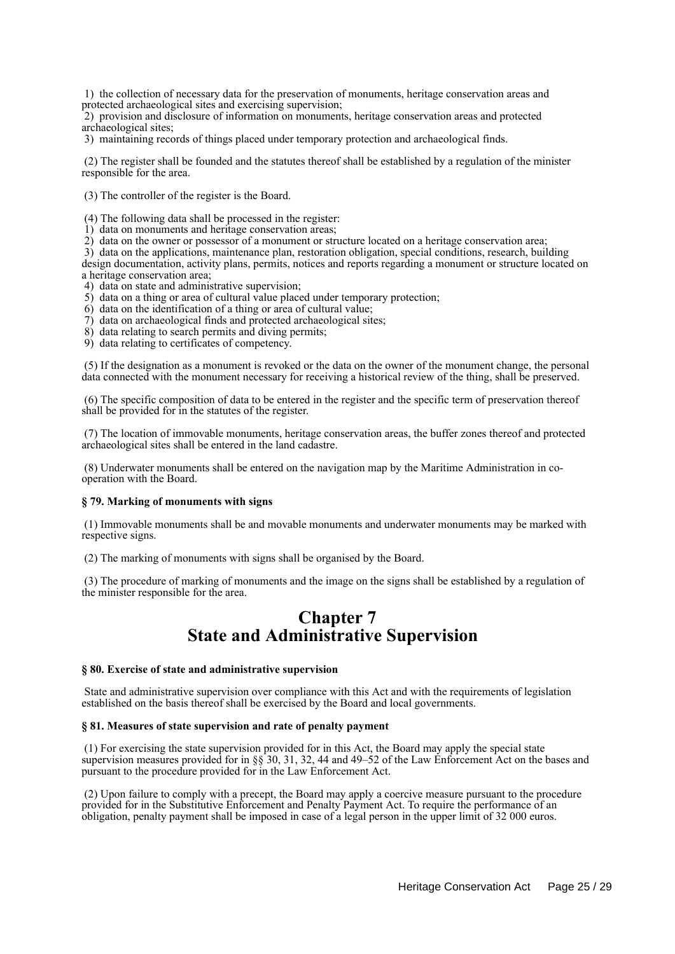1) the collection of necessary data for the preservation of monuments, heritage conservation areas and protected archaeological sites and exercising supervision;

 2) provision and disclosure of information on monuments, heritage conservation areas and protected archaeological sites;

3) maintaining records of things placed under temporary protection and archaeological finds.

 (2) The register shall be founded and the statutes thereof shall be established by a regulation of the minister responsible for the area.

(3) The controller of the register is the Board.

(4) The following data shall be processed in the register:

1) data on monuments and heritage conservation areas;

2) data on the owner or possessor of a monument or structure located on a heritage conservation area;

 3) data on the applications, maintenance plan, restoration obligation, special conditions, research, building design documentation, activity plans, permits, notices and reports regarding a monument or structure located on a heritage conservation area;

4) data on state and administrative supervision;

- 5) data on a thing or area of cultural value placed under temporary protection;
- 6) data on the identification of a thing or area of cultural value;
- 7) data on archaeological finds and protected archaeological sites;
- 8) data relating to search permits and diving permits;
- 9) data relating to certificates of competency.

 (5) If the designation as a monument is revoked or the data on the owner of the monument change, the personal data connected with the monument necessary for receiving a historical review of the thing, shall be preserved.

 (6) The specific composition of data to be entered in the register and the specific term of preservation thereof shall be provided for in the statutes of the register.

 (7) The location of immovable monuments, heritage conservation areas, the buffer zones thereof and protected archaeological sites shall be entered in the land cadastre.

 (8) Underwater monuments shall be entered on the navigation map by the Maritime Administration in cooperation with the Board.

#### **§ 79. Marking of monuments with signs**

 (1) Immovable monuments shall be and movable monuments and underwater monuments may be marked with respective signs.

(2) The marking of monuments with signs shall be organised by the Board.

 (3) The procedure of marking of monuments and the image on the signs shall be established by a regulation of the minister responsible for the area.

## **Chapter 7 State and Administrative Supervision**

#### **§ 80. Exercise of state and administrative supervision**

 State and administrative supervision over compliance with this Act and with the requirements of legislation established on the basis thereof shall be exercised by the Board and local governments.

#### **§ 81. Measures of state supervision and rate of penalty payment**

 (1) For exercising the state supervision provided for in this Act, the Board may apply the special state supervision measures provided for in §§ 30, 31, 32, 44 and 49–52 of the Law Enforcement Act on the bases and pursuant to the procedure provided for in the Law Enforcement Act.

 (2) Upon failure to comply with a precept, the Board may apply a coercive measure pursuant to the procedure provided for in the Substitutive Enforcement and Penalty Payment Act. To require the performance of an obligation, penalty payment shall be imposed in case of a legal person in the upper limit of 32 000 euros.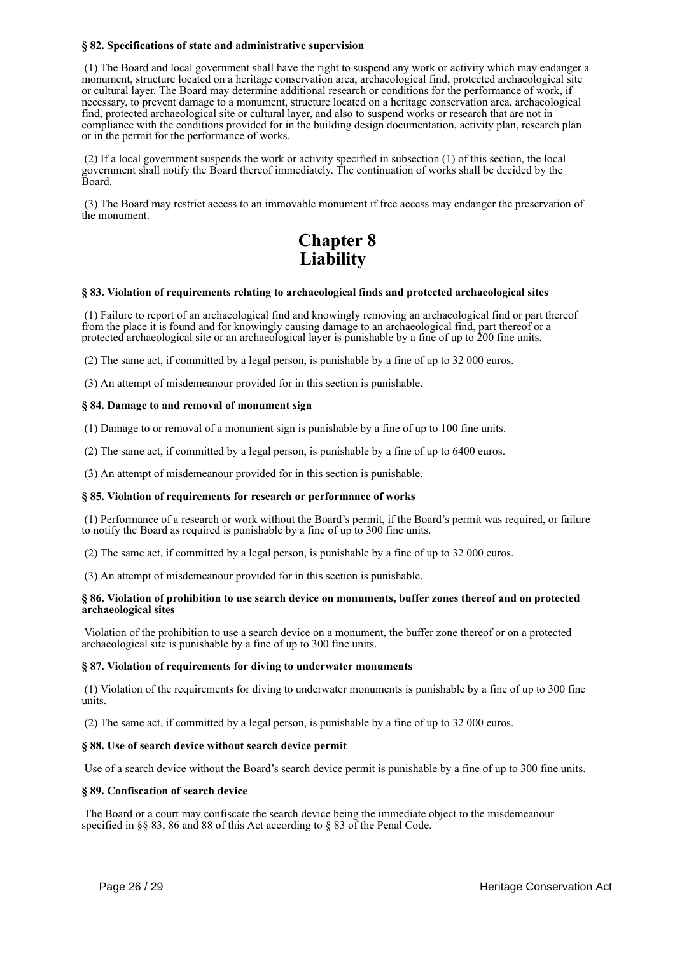## **§ 82. Specifications of state and administrative supervision**

 (1) The Board and local government shall have the right to suspend any work or activity which may endanger a monument, structure located on a heritage conservation area, archaeological find, protected archaeological site or cultural layer. The Board may determine additional research or conditions for the performance of work, if necessary, to prevent damage to a monument, structure located on a heritage conservation area, archaeological find, protected archaeological site or cultural layer, and also to suspend works or research that are not in compliance with the conditions provided for in the building design documentation, activity plan, research plan or in the permit for the performance of works.

 (2) If a local government suspends the work or activity specified in subsection (1) of this section, the local government shall notify the Board thereof immediately. The continuation of works shall be decided by the Board.

 (3) The Board may restrict access to an immovable monument if free access may endanger the preservation of the monument.

# **Chapter 8 Liability**

## **§ 83. Violation of requirements relating to archaeological finds and protected archaeological sites**

 (1) Failure to report of an archaeological find and knowingly removing an archaeological find or part thereof from the place it is found and for knowingly causing damage to an archaeological find, part thereof or a protected archaeological site or an archaeological layer is punishable by a fine of up to 200 fine units.

(2) The same act, if committed by a legal person, is punishable by a fine of up to 32 000 euros.

(3) An attempt of misdemeanour provided for in this section is punishable.

### **§ 84. Damage to and removal of monument sign**

(1) Damage to or removal of a monument sign is punishable by a fine of up to 100 fine units.

(2) The same act, if committed by a legal person, is punishable by a fine of up to 6400 euros.

(3) An attempt of misdemeanour provided for in this section is punishable.

#### **§ 85. Violation of requirements for research or performance of works**

 (1) Performance of a research or work without the Board's permit, if the Board's permit was required, or failure to notify the Board as required is punishable by a fine of up to 300 fine units.

(2) The same act, if committed by a legal person, is punishable by a fine of up to 32 000 euros.

(3) An attempt of misdemeanour provided for in this section is punishable.

#### **§ 86. Violation of prohibition to use search device on monuments, buffer zones thereof and on protected archaeological sites**

 Violation of the prohibition to use a search device on a monument, the buffer zone thereof or on a protected archaeological site is punishable by a fine of up to 300 fine units.

#### **§ 87. Violation of requirements for diving to underwater monuments**

 (1) Violation of the requirements for diving to underwater monuments is punishable by a fine of up to 300 fine units.

(2) The same act, if committed by a legal person, is punishable by a fine of up to 32 000 euros.

#### **§ 88. Use of search device without search device permit**

Use of a search device without the Board's search device permit is punishable by a fine of up to 300 fine units.

#### **§ 89. Confiscation of search device**

 The Board or a court may confiscate the search device being the immediate object to the misdemeanour specified in §§ 83, 86 and 88 of this Act according to § 83 of the Penal Code.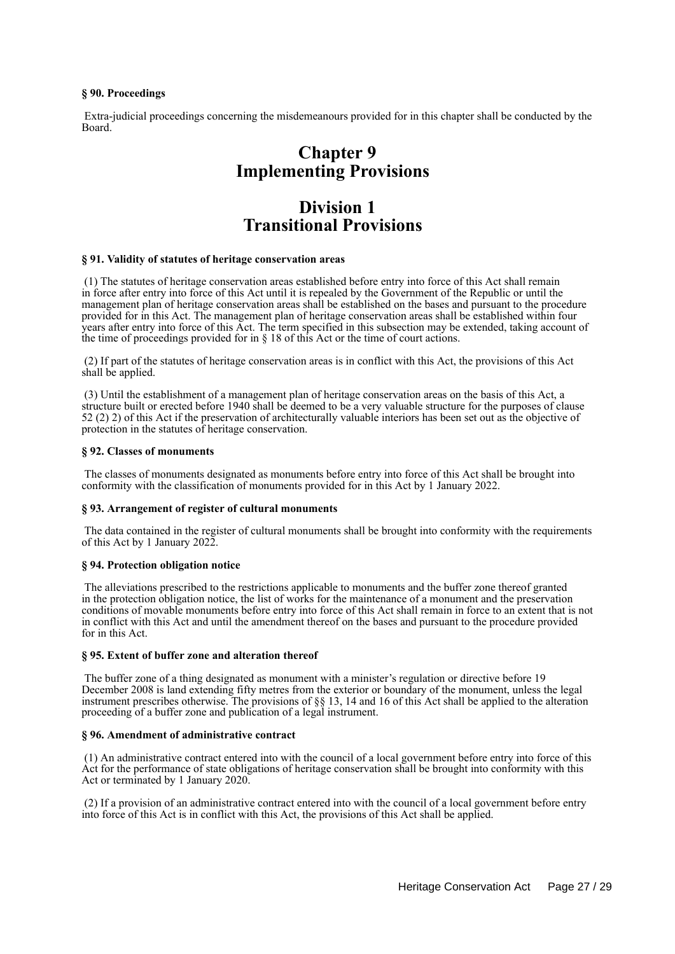## **§ 90. Proceedings**

 Extra-judicial proceedings concerning the misdemeanours provided for in this chapter shall be conducted by the Board.

# **Chapter 9 Implementing Provisions**

# **Division 1 Transitional Provisions**

### **§ 91. Validity of statutes of heritage conservation areas**

 (1) The statutes of heritage conservation areas established before entry into force of this Act shall remain in force after entry into force of this Act until it is repealed by the Government of the Republic or until the management plan of heritage conservation areas shall be established on the bases and pursuant to the procedure provided for in this Act. The management plan of heritage conservation areas shall be established within four years after entry into force of this Act. The term specified in this subsection may be extended, taking account of the time of proceedings provided for in  $\S$  18 of this Act or the time of court actions.

 (2) If part of the statutes of heritage conservation areas is in conflict with this Act, the provisions of this Act shall be applied.

 (3) Until the establishment of a management plan of heritage conservation areas on the basis of this Act, a structure built or erected before 1940 shall be deemed to be a very valuable structure for the purposes of clause 52 (2) 2) of this Act if the preservation of architecturally valuable interiors has been set out as the objective of protection in the statutes of heritage conservation.

#### **§ 92. Classes of monuments**

 The classes of monuments designated as monuments before entry into force of this Act shall be brought into conformity with the classification of monuments provided for in this Act by 1 January 2022.

#### **§ 93. Arrangement of register of cultural monuments**

 The data contained in the register of cultural monuments shall be brought into conformity with the requirements of this Act by 1 January 2022.

#### **§ 94. Protection obligation notice**

 The alleviations prescribed to the restrictions applicable to monuments and the buffer zone thereof granted in the protection obligation notice, the list of works for the maintenance of a monument and the preservation conditions of movable monuments before entry into force of this Act shall remain in force to an extent that is not in conflict with this Act and until the amendment thereof on the bases and pursuant to the procedure provided for in this Act.

#### **§ 95. Extent of buffer zone and alteration thereof**

 The buffer zone of a thing designated as monument with a minister's regulation or directive before 19 December 2008 is land extending fifty metres from the exterior or boundary of the monument, unless the legal instrument prescribes otherwise. The provisions of §§ 13, 14 and 16 of this Act shall be applied to the alteration proceeding of a buffer zone and publication of a legal instrument.

## **§ 96. Amendment of administrative contract**

 (1) An administrative contract entered into with the council of a local government before entry into force of this Act for the performance of state obligations of heritage conservation shall be brought into conformity with this Act or terminated by 1 January 2020.

 (2) If a provision of an administrative contract entered into with the council of a local government before entry into force of this Act is in conflict with this Act, the provisions of this Act shall be applied.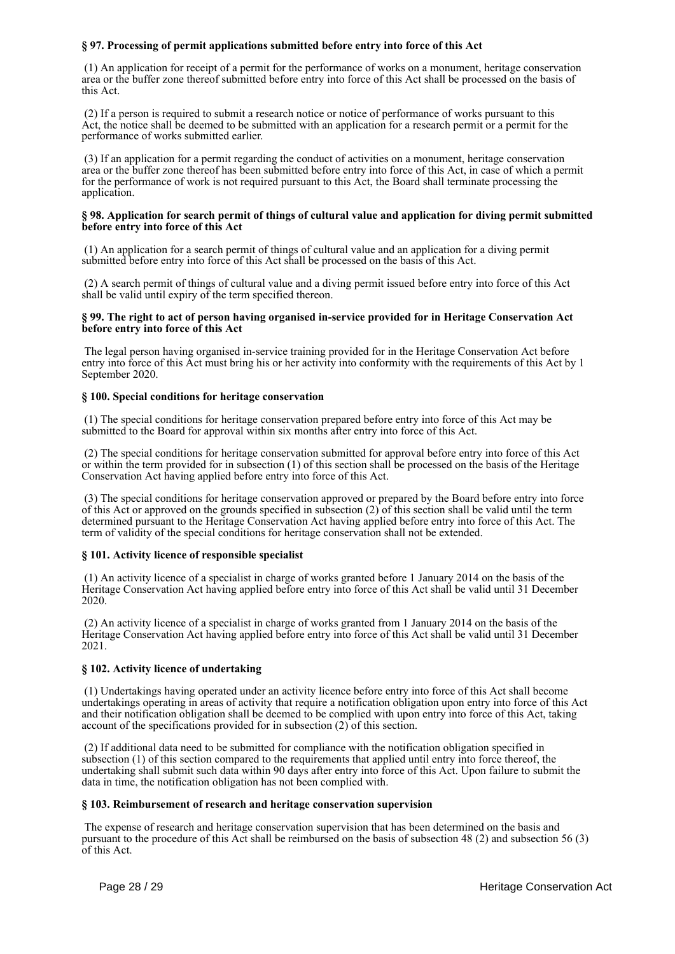## **§ 97. Processing of permit applications submitted before entry into force of this Act**

 (1) An application for receipt of a permit for the performance of works on a monument, heritage conservation area or the buffer zone thereof submitted before entry into force of this Act shall be processed on the basis of this Act.

 (2) If a person is required to submit a research notice or notice of performance of works pursuant to this Act, the notice shall be deemed to be submitted with an application for a research permit or a permit for the performance of works submitted earlier.

 (3) If an application for a permit regarding the conduct of activities on a monument, heritage conservation area or the buffer zone thereof has been submitted before entry into force of this Act, in case of which a permit for the performance of work is not required pursuant to this Act, the Board shall terminate processing the application.

#### **§ 98. Application for search permit of things of cultural value and application for diving permit submitted before entry into force of this Act**

 (1) An application for a search permit of things of cultural value and an application for a diving permit submitted before entry into force of this Act shall be processed on the basis of this Act.

 (2) A search permit of things of cultural value and a diving permit issued before entry into force of this Act shall be valid until expiry of the term specified thereon.

### **§ 99. The right to act of person having organised in-service provided for in Heritage Conservation Act before entry into force of this Act**

 The legal person having organised in-service training provided for in the Heritage Conservation Act before entry into force of this Act must bring his or her activity into conformity with the requirements of this Act by 1 September 2020.

### **§ 100. Special conditions for heritage conservation**

 (1) The special conditions for heritage conservation prepared before entry into force of this Act may be submitted to the Board for approval within six months after entry into force of this Act.

 (2) The special conditions for heritage conservation submitted for approval before entry into force of this Act or within the term provided for in subsection (1) of this section shall be processed on the basis of the Heritage Conservation Act having applied before entry into force of this Act.

 (3) The special conditions for heritage conservation approved or prepared by the Board before entry into force of this Act or approved on the grounds specified in subsection (2) of this section shall be valid until the term determined pursuant to the Heritage Conservation Act having applied before entry into force of this Act. The term of validity of the special conditions for heritage conservation shall not be extended.

### **§ 101. Activity licence of responsible specialist**

 (1) An activity licence of a specialist in charge of works granted before 1 January 2014 on the basis of the Heritage Conservation Act having applied before entry into force of this Act shall be valid until 31 December 2020.

 (2) An activity licence of a specialist in charge of works granted from 1 January 2014 on the basis of the Heritage Conservation Act having applied before entry into force of this Act shall be valid until 31 December 2021.

## **§ 102. Activity licence of undertaking**

 (1) Undertakings having operated under an activity licence before entry into force of this Act shall become undertakings operating in areas of activity that require a notification obligation upon entry into force of this Act and their notification obligation shall be deemed to be complied with upon entry into force of this Act, taking account of the specifications provided for in subsection  $(2)$  of this section.

 (2) If additional data need to be submitted for compliance with the notification obligation specified in subsection (1) of this section compared to the requirements that applied until entry into force thereof, the undertaking shall submit such data within 90 days after entry into force of this Act. Upon failure to submit the data in time, the notification obligation has not been complied with.

### **§ 103. Reimbursement of research and heritage conservation supervision**

 The expense of research and heritage conservation supervision that has been determined on the basis and pursuant to the procedure of this Act shall be reimbursed on the basis of subsection 48 (2) and subsection 56 (3) of this Act.